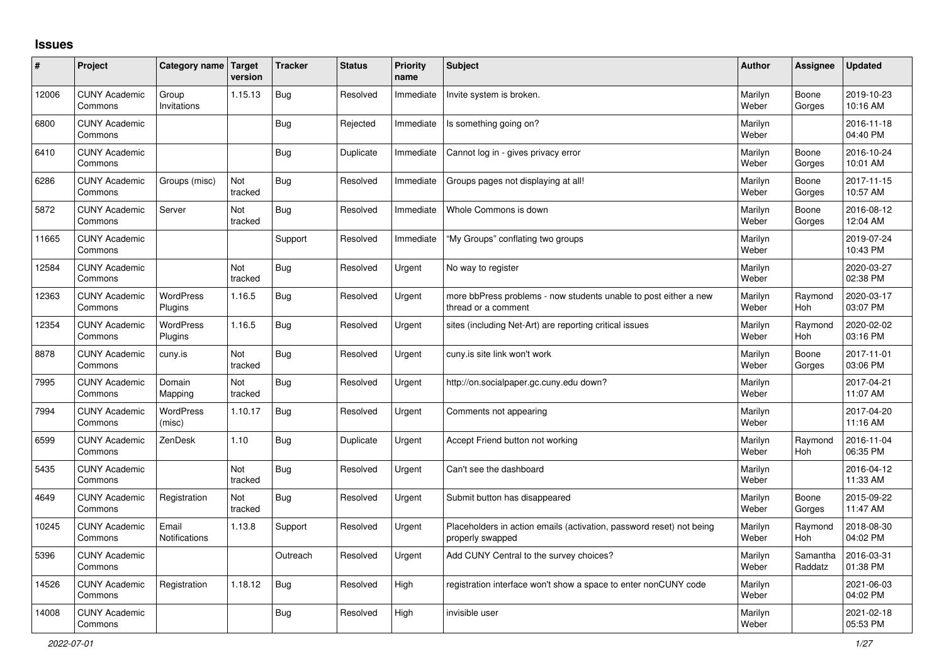## **Issues**

| ∦     | Project                         | Category name Target          | version        | <b>Tracker</b> | <b>Status</b> | <b>Priority</b><br>name | <b>Subject</b>                                                                           | Author           | Assignee              | <b>Updated</b>         |
|-------|---------------------------------|-------------------------------|----------------|----------------|---------------|-------------------------|------------------------------------------------------------------------------------------|------------------|-----------------------|------------------------|
| 12006 | <b>CUNY Academic</b><br>Commons | Group<br>Invitations          | 1.15.13        | <b>Bug</b>     | Resolved      | Immediate               | Invite system is broken.                                                                 | Marilyn<br>Weber | Boone<br>Gorges       | 2019-10-23<br>10:16 AM |
| 6800  | <b>CUNY Academic</b><br>Commons |                               |                | <b>Bug</b>     | Rejected      | Immediate               | Is something going on?                                                                   | Marilyn<br>Weber |                       | 2016-11-18<br>04:40 PM |
| 6410  | <b>CUNY Academic</b><br>Commons |                               |                | <b>Bug</b>     | Duplicate     | Immediate               | Cannot log in - gives privacy error                                                      | Marilyn<br>Weber | Boone<br>Gorges       | 2016-10-24<br>10:01 AM |
| 6286  | <b>CUNY Academic</b><br>Commons | Groups (misc)                 | Not<br>tracked | <b>Bug</b>     | Resolved      | Immediate               | Groups pages not displaying at all!                                                      | Marilyn<br>Weber | Boone<br>Gorges       | 2017-11-15<br>10:57 AM |
| 5872  | <b>CUNY Academic</b><br>Commons | Server                        | Not<br>tracked | <b>Bug</b>     | Resolved      | Immediate               | Whole Commons is down                                                                    | Marilyn<br>Weber | Boone<br>Gorges       | 2016-08-12<br>12:04 AM |
| 11665 | <b>CUNY Academic</b><br>Commons |                               |                | Support        | Resolved      | Immediate               | "My Groups" conflating two groups                                                        | Marilyn<br>Weber |                       | 2019-07-24<br>10:43 PM |
| 12584 | <b>CUNY Academic</b><br>Commons |                               | Not<br>tracked | <b>Bug</b>     | Resolved      | Urgent                  | No way to register                                                                       | Marilyn<br>Weber |                       | 2020-03-27<br>02:38 PM |
| 12363 | <b>CUNY Academic</b><br>Commons | <b>WordPress</b><br>Plugins   | 1.16.5         | <b>Bug</b>     | Resolved      | Urgent                  | more bbPress problems - now students unable to post either a new<br>thread or a comment  | Marilyn<br>Weber | Raymond<br><b>Hoh</b> | 2020-03-17<br>03:07 PM |
| 12354 | <b>CUNY Academic</b><br>Commons | <b>WordPress</b><br>Plugins   | 1.16.5         | Bug            | Resolved      | Urgent                  | sites (including Net-Art) are reporting critical issues                                  | Marilyn<br>Weber | Raymond<br>Hoh        | 2020-02-02<br>03:16 PM |
| 8878  | <b>CUNY Academic</b><br>Commons | cuny.is                       | Not<br>tracked | Bug            | Resolved      | Urgent                  | cuny.is site link won't work                                                             | Marilyn<br>Weber | Boone<br>Gorges       | 2017-11-01<br>03:06 PM |
| 7995  | <b>CUNY Academic</b><br>Commons | Domain<br>Mapping             | Not<br>tracked | <b>Bug</b>     | Resolved      | Urgent                  | http://on.socialpaper.gc.cuny.edu down?                                                  | Marilyn<br>Weber |                       | 2017-04-21<br>11:07 AM |
| 7994  | <b>CUNY Academic</b><br>Commons | <b>WordPress</b><br>(misc)    | 1.10.17        | <b>Bug</b>     | Resolved      | Urgent                  | Comments not appearing                                                                   | Marilyn<br>Weber |                       | 2017-04-20<br>11:16 AM |
| 6599  | <b>CUNY Academic</b><br>Commons | ZenDesk                       | 1.10           | <b>Bug</b>     | Duplicate     | Urgent                  | Accept Friend button not working                                                         | Marilyn<br>Weber | Raymond<br><b>Hoh</b> | 2016-11-04<br>06:35 PM |
| 5435  | <b>CUNY Academic</b><br>Commons |                               | Not<br>tracked | Bug            | Resolved      | Urgent                  | Can't see the dashboard                                                                  | Marilyn<br>Weber |                       | 2016-04-12<br>11:33 AM |
| 4649  | <b>CUNY Academic</b><br>Commons | Registration                  | Not<br>tracked | <b>Bug</b>     | Resolved      | Urgent                  | Submit button has disappeared                                                            | Marilyn<br>Weber | Boone<br>Gorges       | 2015-09-22<br>11:47 AM |
| 10245 | <b>CUNY Academic</b><br>Commons | Email<br><b>Notifications</b> | 1.13.8         | Support        | Resolved      | Urgent                  | Placeholders in action emails (activation, password reset) not being<br>properly swapped | Marilyn<br>Weber | Raymond<br><b>Hoh</b> | 2018-08-30<br>04:02 PM |
| 5396  | <b>CUNY Academic</b><br>Commons |                               |                | Outreach       | Resolved      | Urgent                  | Add CUNY Central to the survey choices?                                                  | Marilyn<br>Weber | Samantha<br>Raddatz   | 2016-03-31<br>01:38 PM |
| 14526 | <b>CUNY Academic</b><br>Commons | Registration                  | 1.18.12        | <b>Bug</b>     | Resolved      | High                    | registration interface won't show a space to enter nonCUNY code                          | Marilyn<br>Weber |                       | 2021-06-03<br>04:02 PM |
| 14008 | <b>CUNY Academic</b><br>Commons |                               |                | Bug            | Resolved      | High                    | invisible user                                                                           | Marilyn<br>Weber |                       | 2021-02-18<br>05:53 PM |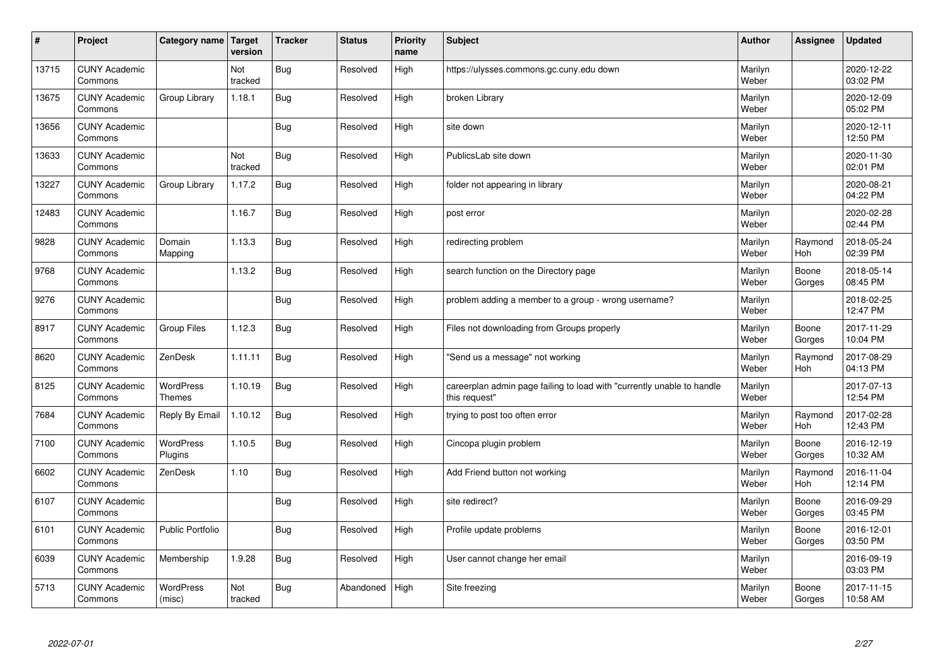| $\sharp$ | Project                         | Category name   Target     | version        | <b>Tracker</b> | <b>Status</b> | <b>Priority</b><br>name | <b>Subject</b>                                                                          | <b>Author</b>    | Assignee              | <b>Updated</b>         |
|----------|---------------------------------|----------------------------|----------------|----------------|---------------|-------------------------|-----------------------------------------------------------------------------------------|------------------|-----------------------|------------------------|
| 13715    | <b>CUNY Academic</b><br>Commons |                            | Not<br>tracked | Bug            | Resolved      | High                    | https://ulysses.commons.gc.cuny.edu down                                                | Marilyn<br>Weber |                       | 2020-12-22<br>03:02 PM |
| 13675    | <b>CUNY Academic</b><br>Commons | Group Library              | 1.18.1         | Bug            | Resolved      | High                    | broken Library                                                                          | Marilyn<br>Weber |                       | 2020-12-09<br>05:02 PM |
| 13656    | <b>CUNY Academic</b><br>Commons |                            |                | <b>Bug</b>     | Resolved      | High                    | site down                                                                               | Marilyn<br>Weber |                       | 2020-12-11<br>12:50 PM |
| 13633    | <b>CUNY Academic</b><br>Commons |                            | Not<br>tracked | <b>Bug</b>     | Resolved      | High                    | PublicsLab site down                                                                    | Marilyn<br>Weber |                       | 2020-11-30<br>02:01 PM |
| 13227    | <b>CUNY Academic</b><br>Commons | Group Library              | 1.17.2         | <b>Bug</b>     | Resolved      | High                    | folder not appearing in library                                                         | Marilyn<br>Weber |                       | 2020-08-21<br>04:22 PM |
| 12483    | <b>CUNY Academic</b><br>Commons |                            | 1.16.7         | <b>Bug</b>     | Resolved      | High                    | post error                                                                              | Marilyn<br>Weber |                       | 2020-02-28<br>02:44 PM |
| 9828     | <b>CUNY Academic</b><br>Commons | Domain<br>Mapping          | 1.13.3         | Bug            | Resolved      | High                    | redirecting problem                                                                     | Marilyn<br>Weber | Raymond<br>Hoh        | 2018-05-24<br>02:39 PM |
| 9768     | <b>CUNY Academic</b><br>Commons |                            | 1.13.2         | Bug            | Resolved      | High                    | search function on the Directory page                                                   | Marilyn<br>Weber | Boone<br>Gorges       | 2018-05-14<br>08:45 PM |
| 9276     | <b>CUNY Academic</b><br>Commons |                            |                | <b>Bug</b>     | Resolved      | High                    | problem adding a member to a group - wrong username?                                    | Marilyn<br>Weber |                       | 2018-02-25<br>12:47 PM |
| 8917     | <b>CUNY Academic</b><br>Commons | <b>Group Files</b>         | 1.12.3         | Bug            | Resolved      | High                    | Files not downloading from Groups properly                                              | Marilyn<br>Weber | Boone<br>Gorges       | 2017-11-29<br>10:04 PM |
| 8620     | <b>CUNY Academic</b><br>Commons | ZenDesk                    | 1.11.11        | <b>Bug</b>     | Resolved      | High                    | 'Send us a message" not working                                                         | Marilyn<br>Weber | Raymond<br>Hoh        | 2017-08-29<br>04:13 PM |
| 8125     | <b>CUNY Academic</b><br>Commons | WordPress<br><b>Themes</b> | 1.10.19        | Bug            | Resolved      | High                    | careerplan admin page failing to load with "currently unable to handle<br>this request" | Marilyn<br>Weber |                       | 2017-07-13<br>12:54 PM |
| 7684     | <b>CUNY Academic</b><br>Commons | Reply By Email             | 1.10.12        | Bug            | Resolved      | High                    | trying to post too often error                                                          | Marilyn<br>Weber | Raymond<br>Hoh        | 2017-02-28<br>12:43 PM |
| 7100     | <b>CUNY Academic</b><br>Commons | WordPress<br>Plugins       | 1.10.5         | <b>Bug</b>     | Resolved      | High                    | Cincopa plugin problem                                                                  | Marilyn<br>Weber | Boone<br>Gorges       | 2016-12-19<br>10:32 AM |
| 6602     | <b>CUNY Academic</b><br>Commons | ZenDesk                    | 1.10           | <b>Bug</b>     | Resolved      | High                    | Add Friend button not working                                                           | Marilyn<br>Weber | Raymond<br><b>Hoh</b> | 2016-11-04<br>12:14 PM |
| 6107     | <b>CUNY Academic</b><br>Commons |                            |                | Bug            | Resolved      | High                    | site redirect?                                                                          | Marilyn<br>Weber | Boone<br>Gorges       | 2016-09-29<br>03:45 PM |
| 6101     | <b>CUNY Academic</b><br>Commons | <b>Public Portfolio</b>    |                | Bug            | Resolved      | High                    | Profile update problems                                                                 | Marilyn<br>Weber | Boone<br>Gorges       | 2016-12-01<br>03:50 PM |
| 6039     | <b>CUNY Academic</b><br>Commons | Membership                 | 1.9.28         | <b>Bug</b>     | Resolved      | High                    | User cannot change her email                                                            | Marilyn<br>Weber |                       | 2016-09-19<br>03:03 PM |
| 5713     | <b>CUNY Academic</b><br>Commons | <b>WordPress</b><br>(misc) | Not<br>tracked | Bug            | Abandoned     | High                    | Site freezing                                                                           | Marilyn<br>Weber | Boone<br>Gorges       | 2017-11-15<br>10:58 AM |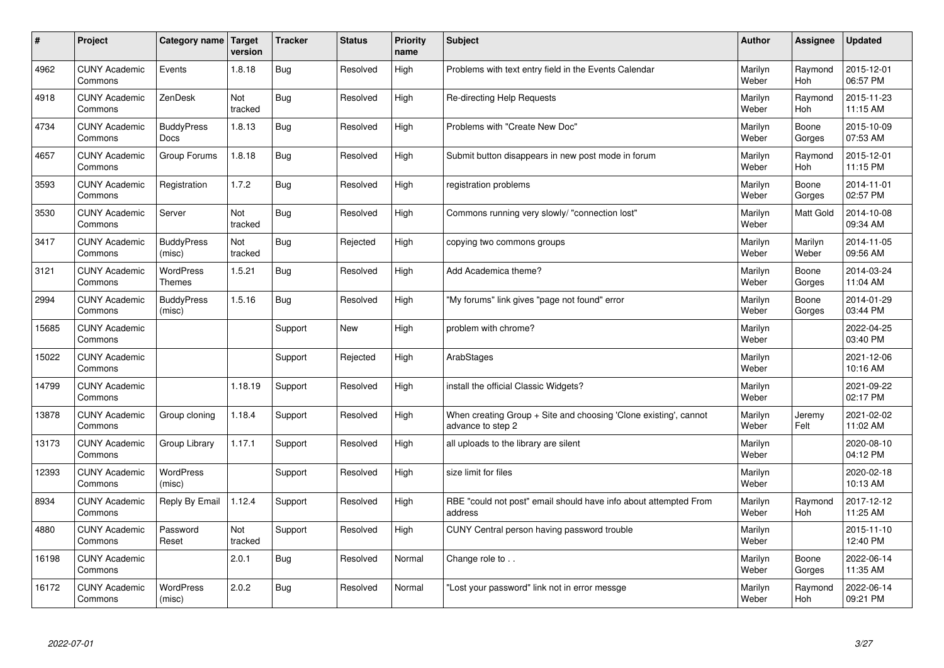| $\sharp$ | Project                         | Category name   Target           | version        | <b>Tracker</b> | <b>Status</b> | <b>Priority</b><br>name | <b>Subject</b>                                                                        | <b>Author</b>    | Assignee              | <b>Updated</b>         |
|----------|---------------------------------|----------------------------------|----------------|----------------|---------------|-------------------------|---------------------------------------------------------------------------------------|------------------|-----------------------|------------------------|
| 4962     | <b>CUNY Academic</b><br>Commons | Events                           | 1.8.18         | Bug            | Resolved      | High                    | Problems with text entry field in the Events Calendar                                 | Marilyn<br>Weber | Raymond<br><b>Hoh</b> | 2015-12-01<br>06:57 PM |
| 4918     | <b>CUNY Academic</b><br>Commons | ZenDesk                          | Not<br>tracked | Bug            | Resolved      | High                    | Re-directing Help Requests                                                            | Marilyn<br>Weber | Raymond<br>Hoh        | 2015-11-23<br>11:15 AM |
| 4734     | <b>CUNY Academic</b><br>Commons | <b>BuddyPress</b><br><b>Docs</b> | 1.8.13         | Bug            | Resolved      | High                    | Problems with "Create New Doc"                                                        | Marilyn<br>Weber | Boone<br>Gorges       | 2015-10-09<br>07:53 AM |
| 4657     | <b>CUNY Academic</b><br>Commons | Group Forums                     | 1.8.18         | <b>Bug</b>     | Resolved      | High                    | Submit button disappears in new post mode in forum                                    | Marilyn<br>Weber | Raymond<br>Hoh        | 2015-12-01<br>11:15 PM |
| 3593     | <b>CUNY Academic</b><br>Commons | Registration                     | 1.7.2          | Bug            | Resolved      | High                    | registration problems                                                                 | Marilyn<br>Weber | Boone<br>Gorges       | 2014-11-01<br>02:57 PM |
| 3530     | <b>CUNY Academic</b><br>Commons | Server                           | Not<br>tracked | Bug            | Resolved      | High                    | Commons running very slowly/ "connection lost"                                        | Marilyn<br>Weber | <b>Matt Gold</b>      | 2014-10-08<br>09:34 AM |
| 3417     | <b>CUNY Academic</b><br>Commons | <b>BuddyPress</b><br>(misc)      | Not<br>tracked | Bug            | Rejected      | High                    | copying two commons groups                                                            | Marilyn<br>Weber | Marilyn<br>Weber      | 2014-11-05<br>09:56 AM |
| 3121     | <b>CUNY Academic</b><br>Commons | WordPress<br>Themes              | 1.5.21         | Bug            | Resolved      | High                    | Add Academica theme?                                                                  | Marilyn<br>Weber | Boone<br>Gorges       | 2014-03-24<br>11:04 AM |
| 2994     | <b>CUNY Academic</b><br>Commons | <b>BuddyPress</b><br>(misc)      | 1.5.16         | Bug            | Resolved      | High                    | "My forums" link gives "page not found" error                                         | Marilyn<br>Weber | Boone<br>Gorges       | 2014-01-29<br>03:44 PM |
| 15685    | <b>CUNY Academic</b><br>Commons |                                  |                | Support        | <b>New</b>    | High                    | problem with chrome?                                                                  | Marilyn<br>Weber |                       | 2022-04-25<br>03:40 PM |
| 15022    | <b>CUNY Academic</b><br>Commons |                                  |                | Support        | Rejected      | High                    | ArabStages                                                                            | Marilyn<br>Weber |                       | 2021-12-06<br>10:16 AM |
| 14799    | <b>CUNY Academic</b><br>Commons |                                  | 1.18.19        | Support        | Resolved      | High                    | install the official Classic Widgets?                                                 | Marilyn<br>Weber |                       | 2021-09-22<br>02:17 PM |
| 13878    | <b>CUNY Academic</b><br>Commons | Group cloning                    | 1.18.4         | Support        | Resolved      | High                    | When creating Group + Site and choosing 'Clone existing', cannot<br>advance to step 2 | Marilyn<br>Weber | Jeremy<br>Felt        | 2021-02-02<br>11:02 AM |
| 13173    | <b>CUNY Academic</b><br>Commons | Group Library                    | 1.17.1         | Support        | Resolved      | High                    | all uploads to the library are silent                                                 | Marilyn<br>Weber |                       | 2020-08-10<br>04:12 PM |
| 12393    | <b>CUNY Academic</b><br>Commons | <b>WordPress</b><br>(misc)       |                | Support        | Resolved      | High                    | size limit for files                                                                  | Marilyn<br>Weber |                       | 2020-02-18<br>10:13 AM |
| 8934     | <b>CUNY Academic</b><br>Commons | Reply By Email                   | 1.12.4         | Support        | Resolved      | High                    | RBE "could not post" email should have info about attempted From<br>address           | Marilyn<br>Weber | Raymond<br>Hoh        | 2017-12-12<br>11:25 AM |
| 4880     | <b>CUNY Academic</b><br>Commons | Password<br>Reset                | Not<br>tracked | Support        | Resolved      | High                    | CUNY Central person having password trouble                                           | Marilyn<br>Weber |                       | 2015-11-10<br>12:40 PM |
| 16198    | <b>CUNY Academic</b><br>Commons |                                  | 2.0.1          | <b>Bug</b>     | Resolved      | Normal                  | Change role to                                                                        | Marilyn<br>Weber | Boone<br>Gorges       | 2022-06-14<br>11:35 AM |
| 16172    | <b>CUNY Academic</b><br>Commons | <b>WordPress</b><br>(misc)       | 2.0.2          | Bug            | Resolved      | Normal                  | 'Lost your password" link not in error messge                                         | Marilyn<br>Weber | Raymond<br>Hoh        | 2022-06-14<br>09:21 PM |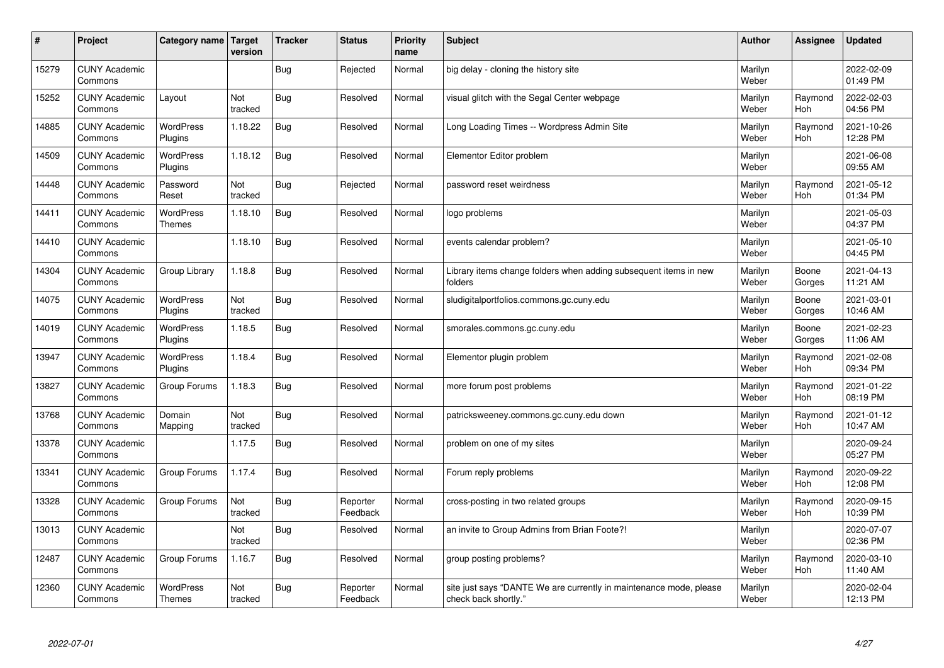| #     | Project                         | Category name   Target            | version        | <b>Tracker</b> | <b>Status</b>        | <b>Priority</b><br>name | <b>Subject</b>                                                                             | <b>Author</b>    | Assignee        | <b>Updated</b>         |
|-------|---------------------------------|-----------------------------------|----------------|----------------|----------------------|-------------------------|--------------------------------------------------------------------------------------------|------------------|-----------------|------------------------|
| 15279 | <b>CUNY Academic</b><br>Commons |                                   |                | Bug            | Rejected             | Normal                  | big delay - cloning the history site                                                       | Marilyn<br>Weber |                 | 2022-02-09<br>01:49 PM |
| 15252 | <b>CUNY Academic</b><br>Commons | Layout                            | Not<br>tracked | Bug            | Resolved             | Normal                  | visual glitch with the Segal Center webpage                                                | Marilyn<br>Weber | Raymond<br>Hoh  | 2022-02-03<br>04:56 PM |
| 14885 | <b>CUNY Academic</b><br>Commons | <b>WordPress</b><br>Plugins       | 1.18.22        | Bug            | Resolved             | Normal                  | Long Loading Times -- Wordpress Admin Site                                                 | Marilyn<br>Weber | Raymond<br>Hoh  | 2021-10-26<br>12:28 PM |
| 14509 | <b>CUNY Academic</b><br>Commons | <b>WordPress</b><br>Plugins       | 1.18.12        | Bug            | Resolved             | Normal                  | Elementor Editor problem                                                                   | Marilyn<br>Weber |                 | 2021-06-08<br>09:55 AM |
| 14448 | <b>CUNY Academic</b><br>Commons | Password<br>Reset                 | Not<br>tracked | <b>Bug</b>     | Rejected             | Normal                  | password reset weirdness                                                                   | Marilyn<br>Weber | Raymond<br>Hoh  | 2021-05-12<br>01:34 PM |
| 14411 | <b>CUNY Academic</b><br>Commons | <b>WordPress</b><br><b>Themes</b> | 1.18.10        | Bug            | Resolved             | Normal                  | logo problems                                                                              | Marilyn<br>Weber |                 | 2021-05-03<br>04:37 PM |
| 14410 | <b>CUNY Academic</b><br>Commons |                                   | 1.18.10        | <b>Bug</b>     | Resolved             | Normal                  | events calendar problem?                                                                   | Marilyn<br>Weber |                 | 2021-05-10<br>04:45 PM |
| 14304 | <b>CUNY Academic</b><br>Commons | Group Library                     | 1.18.8         | Bug            | Resolved             | Normal                  | Library items change folders when adding subsequent items in new<br>folders                | Marilyn<br>Weber | Boone<br>Gorges | 2021-04-13<br>11:21 AM |
| 14075 | <b>CUNY Academic</b><br>Commons | <b>WordPress</b><br>Plugins       | Not<br>tracked | Bug            | Resolved             | Normal                  | sludigitalportfolios.commons.gc.cuny.edu                                                   | Marilyn<br>Weber | Boone<br>Gorges | 2021-03-01<br>10:46 AM |
| 14019 | <b>CUNY Academic</b><br>Commons | WordPress<br>Plugins              | 1.18.5         | Bug            | Resolved             | Normal                  | smorales.commons.gc.cuny.edu                                                               | Marilyn<br>Weber | Boone<br>Gorges | 2021-02-23<br>11:06 AM |
| 13947 | <b>CUNY Academic</b><br>Commons | <b>WordPress</b><br>Plugins       | 1.18.4         | <b>Bug</b>     | Resolved             | Normal                  | Elementor plugin problem                                                                   | Marilyn<br>Weber | Raymond<br>Hoh  | 2021-02-08<br>09:34 PM |
| 13827 | <b>CUNY Academic</b><br>Commons | Group Forums                      | 1.18.3         | Bug            | Resolved             | Normal                  | more forum post problems                                                                   | Marilyn<br>Weber | Raymond<br>Hoh  | 2021-01-22<br>08:19 PM |
| 13768 | <b>CUNY Academic</b><br>Commons | Domain<br>Mapping                 | Not<br>tracked | <b>Bug</b>     | Resolved             | Normal                  | patricksweeney.commons.gc.cuny.edu down                                                    | Marilyn<br>Weber | Raymond<br>Hoh  | 2021-01-12<br>10:47 AM |
| 13378 | <b>CUNY Academic</b><br>Commons |                                   | 1.17.5         | Bug            | Resolved             | Normal                  | problem on one of my sites                                                                 | Marilyn<br>Weber |                 | 2020-09-24<br>05:27 PM |
| 13341 | <b>CUNY Academic</b><br>Commons | Group Forums                      | 1.17.4         | Bug            | Resolved             | Normal                  | Forum reply problems                                                                       | Marilyn<br>Weber | Raymond<br>Hoh  | 2020-09-22<br>12:08 PM |
| 13328 | <b>CUNY Academic</b><br>Commons | Group Forums                      | Not<br>tracked | <b>Bug</b>     | Reporter<br>Feedback | Normal                  | cross-posting in two related groups                                                        | Marilyn<br>Weber | Raymond<br>Hoh  | 2020-09-15<br>10:39 PM |
| 13013 | <b>CUNY Academic</b><br>Commons |                                   | Not<br>tracked | Bug            | Resolved             | Normal                  | an invite to Group Admins from Brian Foote?!                                               | Marilyn<br>Weber |                 | 2020-07-07<br>02:36 PM |
| 12487 | <b>CUNY Academic</b><br>Commons | Group Forums                      | 1.16.7         | <b>Bug</b>     | Resolved             | Normal                  | group posting problems?                                                                    | Marilyn<br>Weber | Raymond<br>Hoh  | 2020-03-10<br>11:40 AM |
| 12360 | <b>CUNY Academic</b><br>Commons | <b>WordPress</b><br><b>Themes</b> | Not<br>tracked | <b>Bug</b>     | Reporter<br>Feedback | Normal                  | site just says "DANTE We are currently in maintenance mode, please<br>check back shortly." | Marilyn<br>Weber |                 | 2020-02-04<br>12:13 PM |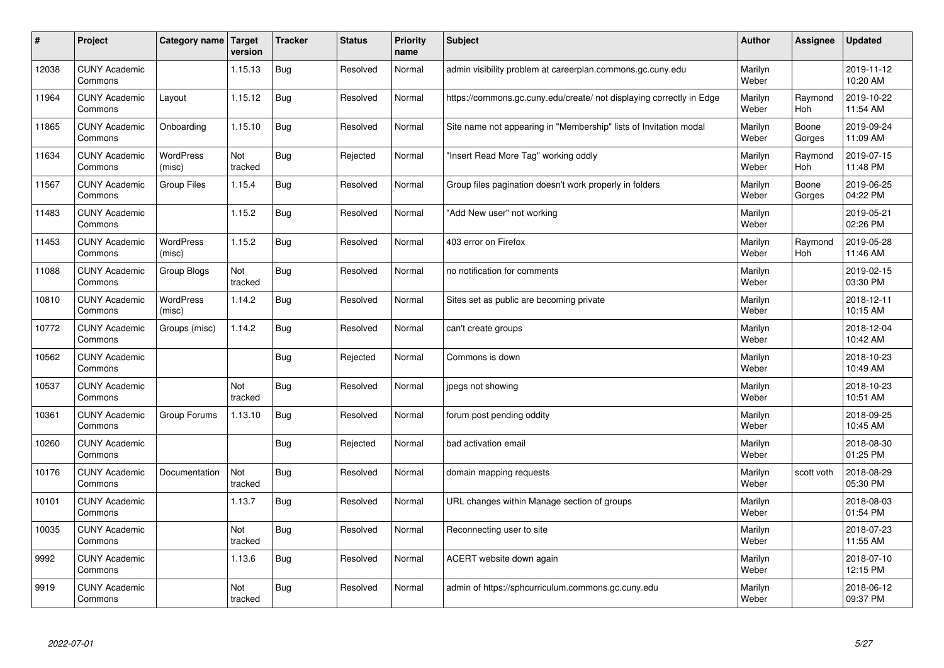| #     | Project                         | Category name   Target     | version        | <b>Tracker</b> | <b>Status</b> | <b>Priority</b><br>name | <b>Subject</b>                                                       | <b>Author</b>    | Assignee        | <b>Updated</b>         |
|-------|---------------------------------|----------------------------|----------------|----------------|---------------|-------------------------|----------------------------------------------------------------------|------------------|-----------------|------------------------|
| 12038 | <b>CUNY Academic</b><br>Commons |                            | 1.15.13        | <b>Bug</b>     | Resolved      | Normal                  | admin visibility problem at careerplan.commons.gc.cuny.edu           | Marilyn<br>Weber |                 | 2019-11-12<br>10:20 AM |
| 11964 | <b>CUNY Academic</b><br>Commons | Layout                     | 1.15.12        | Bug            | Resolved      | Normal                  | https://commons.gc.cuny.edu/create/ not displaying correctly in Edge | Marilyn<br>Weber | Raymond<br>Hoh  | 2019-10-22<br>11:54 AM |
| 11865 | <b>CUNY Academic</b><br>Commons | Onboarding                 | 1.15.10        | <b>Bug</b>     | Resolved      | Normal                  | Site name not appearing in "Membership" lists of Invitation modal    | Marilyn<br>Weber | Boone<br>Gorges | 2019-09-24<br>11:09 AM |
| 11634 | <b>CUNY Academic</b><br>Commons | <b>WordPress</b><br>(misc) | Not<br>tracked | Bug            | Rejected      | Normal                  | 'Insert Read More Tag" working oddly                                 | Marilyn<br>Weber | Raymond<br>Hoh  | 2019-07-15<br>11:48 PM |
| 11567 | <b>CUNY Academic</b><br>Commons | Group Files                | 1.15.4         | <b>Bug</b>     | Resolved      | Normal                  | Group files pagination doesn't work properly in folders              | Marilyn<br>Weber | Boone<br>Gorges | 2019-06-25<br>04:22 PM |
| 11483 | <b>CUNY Academic</b><br>Commons |                            | 1.15.2         | Bug            | Resolved      | Normal                  | 'Add New user" not working                                           | Marilyn<br>Weber |                 | 2019-05-21<br>02:26 PM |
| 11453 | <b>CUNY Academic</b><br>Commons | <b>WordPress</b><br>(misc) | 1.15.2         | Bug            | Resolved      | Normal                  | 403 error on Firefox                                                 | Marilyn<br>Weber | Raymond<br>Hoh  | 2019-05-28<br>11:46 AM |
| 11088 | <b>CUNY Academic</b><br>Commons | Group Blogs                | Not<br>tracked | <b>Bug</b>     | Resolved      | Normal                  | no notification for comments                                         | Marilyn<br>Weber |                 | 2019-02-15<br>03:30 PM |
| 10810 | <b>CUNY Academic</b><br>Commons | WordPress<br>(misc)        | 1.14.2         | <b>Bug</b>     | Resolved      | Normal                  | Sites set as public are becoming private                             | Marilyn<br>Weber |                 | 2018-12-11<br>10:15 AM |
| 10772 | <b>CUNY Academic</b><br>Commons | Groups (misc)              | 1.14.2         | Bug            | Resolved      | Normal                  | can't create groups                                                  | Marilyn<br>Weber |                 | 2018-12-04<br>10:42 AM |
| 10562 | <b>CUNY Academic</b><br>Commons |                            |                | Bug            | Rejected      | Normal                  | Commons is down                                                      | Marilyn<br>Weber |                 | 2018-10-23<br>10:49 AM |
| 10537 | <b>CUNY Academic</b><br>Commons |                            | Not<br>tracked | <b>Bug</b>     | Resolved      | Normal                  | jpegs not showing                                                    | Marilyn<br>Weber |                 | 2018-10-23<br>10:51 AM |
| 10361 | <b>CUNY Academic</b><br>Commons | Group Forums               | 1.13.10        | Bug            | Resolved      | Normal                  | forum post pending oddity                                            | Marilyn<br>Weber |                 | 2018-09-25<br>10:45 AM |
| 10260 | <b>CUNY Academic</b><br>Commons |                            |                | Bug            | Rejected      | Normal                  | bad activation email                                                 | Marilyn<br>Weber |                 | 2018-08-30<br>01:25 PM |
| 10176 | <b>CUNY Academic</b><br>Commons | Documentation              | Not<br>tracked | <b>Bug</b>     | Resolved      | Normal                  | domain mapping requests                                              | Marilyn<br>Weber | scott voth      | 2018-08-29<br>05:30 PM |
| 10101 | <b>CUNY Academic</b><br>Commons |                            | 1.13.7         | Bug            | Resolved      | Normal                  | URL changes within Manage section of groups                          | Marilyn<br>Weber |                 | 2018-08-03<br>01:54 PM |
| 10035 | <b>CUNY Academic</b><br>Commons |                            | Not<br>tracked | Bug            | Resolved      | Normal                  | Reconnecting user to site                                            | Marilyn<br>Weber |                 | 2018-07-23<br>11:55 AM |
| 9992  | <b>CUNY Academic</b><br>Commons |                            | 1.13.6         | <b>Bug</b>     | Resolved      | Normal                  | ACERT website down again                                             | Marilyn<br>Weber |                 | 2018-07-10<br>12:15 PM |
| 9919  | <b>CUNY Academic</b><br>Commons |                            | Not<br>tracked | Bug            | Resolved      | Normal                  | admin of https://sphcurriculum.commons.gc.cuny.edu                   | Marilyn<br>Weber |                 | 2018-06-12<br>09:37 PM |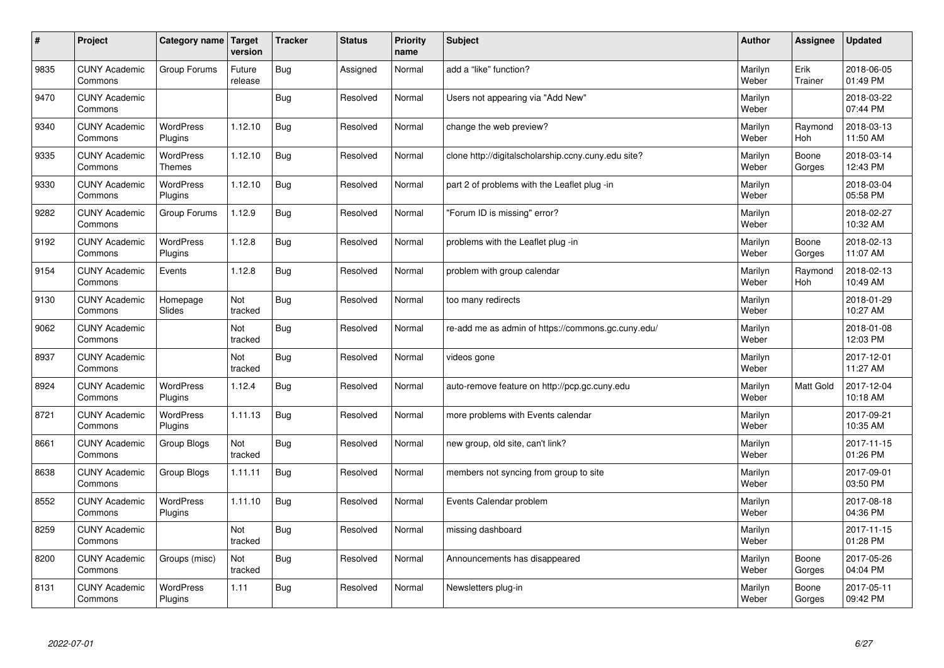| $\sharp$ | Project                         | Category name   Target            | version           | <b>Tracker</b> | <b>Status</b> | <b>Priority</b><br>name | <b>Subject</b>                                      | <b>Author</b>    | Assignee              | <b>Updated</b>         |
|----------|---------------------------------|-----------------------------------|-------------------|----------------|---------------|-------------------------|-----------------------------------------------------|------------------|-----------------------|------------------------|
| 9835     | <b>CUNY Academic</b><br>Commons | Group Forums                      | Future<br>release | Bug            | Assigned      | Normal                  | add a "like" function?                              | Marilyn<br>Weber | Erik<br>Trainer       | 2018-06-05<br>01:49 PM |
| 9470     | <b>CUNY Academic</b><br>Commons |                                   |                   | Bug            | Resolved      | Normal                  | Users not appearing via "Add New"                   | Marilyn<br>Weber |                       | 2018-03-22<br>07:44 PM |
| 9340     | <b>CUNY Academic</b><br>Commons | <b>WordPress</b><br>Plugins       | 1.12.10           | <b>Bug</b>     | Resolved      | Normal                  | change the web preview?                             | Marilyn<br>Weber | Raymond<br>Hoh        | 2018-03-13<br>11:50 AM |
| 9335     | <b>CUNY Academic</b><br>Commons | <b>WordPress</b><br><b>Themes</b> | 1.12.10           | <b>Bug</b>     | Resolved      | Normal                  | clone http://digitalscholarship.ccny.cuny.edu site? | Marilyn<br>Weber | Boone<br>Gorges       | 2018-03-14<br>12:43 PM |
| 9330     | <b>CUNY Academic</b><br>Commons | <b>WordPress</b><br>Plugins       | 1.12.10           | <b>Bug</b>     | Resolved      | Normal                  | part 2 of problems with the Leaflet plug -in        | Marilyn<br>Weber |                       | 2018-03-04<br>05:58 PM |
| 9282     | <b>CUNY Academic</b><br>Commons | Group Forums                      | 1.12.9            | <b>Bug</b>     | Resolved      | Normal                  | 'Forum ID is missing" error?                        | Marilyn<br>Weber |                       | 2018-02-27<br>10:32 AM |
| 9192     | <b>CUNY Academic</b><br>Commons | <b>WordPress</b><br>Plugins       | 1.12.8            | Bug            | Resolved      | Normal                  | problems with the Leaflet plug -in                  | Marilyn<br>Weber | Boone<br>Gorges       | 2018-02-13<br>11:07 AM |
| 9154     | <b>CUNY Academic</b><br>Commons | Events                            | 1.12.8            | Bug            | Resolved      | Normal                  | problem with group calendar                         | Marilyn<br>Weber | Raymond<br><b>Hoh</b> | 2018-02-13<br>10:49 AM |
| 9130     | <b>CUNY Academic</b><br>Commons | Homepage<br>Slides                | Not<br>tracked    | Bug            | Resolved      | Normal                  | too many redirects                                  | Marilyn<br>Weber |                       | 2018-01-29<br>10:27 AM |
| 9062     | <b>CUNY Academic</b><br>Commons |                                   | Not<br>tracked    | Bug            | Resolved      | Normal                  | re-add me as admin of https://commons.gc.cuny.edu/  | Marilyn<br>Weber |                       | 2018-01-08<br>12:03 PM |
| 8937     | <b>CUNY Academic</b><br>Commons |                                   | Not<br>tracked    | Bug            | Resolved      | Normal                  | videos gone                                         | Marilyn<br>Weber |                       | 2017-12-01<br>11:27 AM |
| 8924     | <b>CUNY Academic</b><br>Commons | WordPress<br>Plugins              | 1.12.4            | Bug            | Resolved      | Normal                  | auto-remove feature on http://pcp.gc.cuny.edu       | Marilyn<br>Weber | Matt Gold             | 2017-12-04<br>10:18 AM |
| 8721     | <b>CUNY Academic</b><br>Commons | <b>WordPress</b><br>Plugins       | 1.11.13           | Bug            | Resolved      | Normal                  | more problems with Events calendar                  | Marilyn<br>Weber |                       | 2017-09-21<br>10:35 AM |
| 8661     | <b>CUNY Academic</b><br>Commons | Group Blogs                       | Not<br>tracked    | Bug            | Resolved      | Normal                  | new group, old site, can't link?                    | Marilyn<br>Weber |                       | 2017-11-15<br>01:26 PM |
| 8638     | <b>CUNY Academic</b><br>Commons | Group Blogs                       | 1.11.11           | Bug            | Resolved      | Normal                  | members not syncing from group to site              | Marilyn<br>Weber |                       | 2017-09-01<br>03:50 PM |
| 8552     | <b>CUNY Academic</b><br>Commons | WordPress<br>Plugins              | 1.11.10           | Bug            | Resolved      | Normal                  | Events Calendar problem                             | Marilyn<br>Weber |                       | 2017-08-18<br>04:36 PM |
| 8259     | <b>CUNY Academic</b><br>Commons |                                   | Not<br>tracked    | Bug            | Resolved      | Normal                  | missing dashboard                                   | Marilyn<br>Weber |                       | 2017-11-15<br>01:28 PM |
| 8200     | <b>CUNY Academic</b><br>Commons | Groups (misc)                     | Not<br>tracked    | Bug            | Resolved      | Normal                  | Announcements has disappeared                       | Marilyn<br>Weber | Boone<br>Gorges       | 2017-05-26<br>04:04 PM |
| 8131     | <b>CUNY Academic</b><br>Commons | <b>WordPress</b><br>Plugins       | 1.11              | Bug            | Resolved      | Normal                  | Newsletters plug-in                                 | Marilyn<br>Weber | Boone<br>Gorges       | 2017-05-11<br>09:42 PM |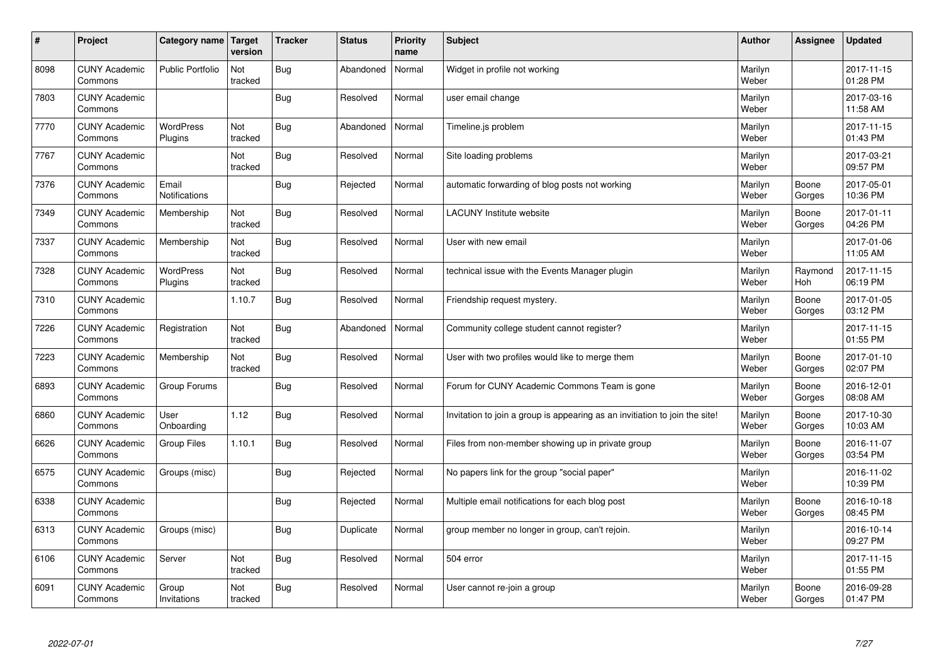| $\sharp$ | Project                         | Category name   Target        | version        | <b>Tracker</b> | <b>Status</b> | <b>Priority</b><br>name | <b>Subject</b>                                                              | <b>Author</b>    | Assignee        | <b>Updated</b>         |
|----------|---------------------------------|-------------------------------|----------------|----------------|---------------|-------------------------|-----------------------------------------------------------------------------|------------------|-----------------|------------------------|
| 8098     | <b>CUNY Academic</b><br>Commons | <b>Public Portfolio</b>       | Not<br>tracked | <b>Bug</b>     | Abandoned     | Normal                  | Widget in profile not working                                               | Marilyn<br>Weber |                 | 2017-11-15<br>01:28 PM |
| 7803     | <b>CUNY Academic</b><br>Commons |                               |                | Bug            | Resolved      | Normal                  | user email change                                                           | Marilyn<br>Weber |                 | 2017-03-16<br>11:58 AM |
| 7770     | <b>CUNY Academic</b><br>Commons | <b>WordPress</b><br>Plugins   | Not<br>tracked | Bug            | Abandoned     | Normal                  | Timeline.js problem                                                         | Marilyn<br>Weber |                 | 2017-11-15<br>01:43 PM |
| 7767     | <b>CUNY Academic</b><br>Commons |                               | Not<br>tracked | Bug            | Resolved      | Normal                  | Site loading problems                                                       | Marilyn<br>Weber |                 | 2017-03-21<br>09:57 PM |
| 7376     | <b>CUNY Academic</b><br>Commons | Email<br><b>Notifications</b> |                | Bug            | Rejected      | Normal                  | automatic forwarding of blog posts not working                              | Marilyn<br>Weber | Boone<br>Gorges | 2017-05-01<br>10:36 PM |
| 7349     | <b>CUNY Academic</b><br>Commons | Membership                    | Not<br>tracked | Bug            | Resolved      | Normal                  | <b>LACUNY Institute website</b>                                             | Marilyn<br>Weber | Boone<br>Gorges | 2017-01-11<br>04:26 PM |
| 7337     | <b>CUNY Academic</b><br>Commons | Membership                    | Not<br>tracked | Bug            | Resolved      | Normal                  | User with new email                                                         | Marilyn<br>Weber |                 | 2017-01-06<br>11:05 AM |
| 7328     | <b>CUNY Academic</b><br>Commons | WordPress<br>Plugins          | Not<br>tracked | Bug            | Resolved      | Normal                  | technical issue with the Events Manager plugin                              | Marilyn<br>Weber | Raymond<br>Hoh  | 2017-11-15<br>06:19 PM |
| 7310     | <b>CUNY Academic</b><br>Commons |                               | 1.10.7         | Bug            | Resolved      | Normal                  | Friendship request mystery.                                                 | Marilyn<br>Weber | Boone<br>Gorges | 2017-01-05<br>03:12 PM |
| 7226     | <b>CUNY Academic</b><br>Commons | Registration                  | Not<br>tracked | Bug            | Abandoned     | Normal                  | Community college student cannot register?                                  | Marilyn<br>Weber |                 | 2017-11-15<br>01:55 PM |
| 7223     | <b>CUNY Academic</b><br>Commons | Membership                    | Not<br>tracked | Bug            | Resolved      | Normal                  | User with two profiles would like to merge them                             | Marilyn<br>Weber | Boone<br>Gorges | 2017-01-10<br>02:07 PM |
| 6893     | <b>CUNY Academic</b><br>Commons | Group Forums                  |                | Bug            | Resolved      | Normal                  | Forum for CUNY Academic Commons Team is gone                                | Marilyn<br>Weber | Boone<br>Gorges | 2016-12-01<br>08:08 AM |
| 6860     | <b>CUNY Academic</b><br>Commons | User<br>Onboarding            | 1.12           | Bug            | Resolved      | Normal                  | Invitation to join a group is appearing as an invitiation to join the site! | Marilyn<br>Weber | Boone<br>Gorges | 2017-10-30<br>10:03 AM |
| 6626     | <b>CUNY Academic</b><br>Commons | Group Files                   | 1.10.1         | Bug            | Resolved      | Normal                  | Files from non-member showing up in private group                           | Marilyn<br>Weber | Boone<br>Gorges | 2016-11-07<br>03:54 PM |
| 6575     | <b>CUNY Academic</b><br>Commons | Groups (misc)                 |                | Bug            | Rejected      | Normal                  | No papers link for the group "social paper"                                 | Marilyn<br>Weber |                 | 2016-11-02<br>10:39 PM |
| 6338     | <b>CUNY Academic</b><br>Commons |                               |                | Bug            | Rejected      | Normal                  | Multiple email notifications for each blog post                             | Marilyn<br>Weber | Boone<br>Gorges | 2016-10-18<br>08:45 PM |
| 6313     | <b>CUNY Academic</b><br>Commons | Groups (misc)                 |                | Bug            | Duplicate     | Normal                  | group member no longer in group, can't rejoin.                              | Marilyn<br>Weber |                 | 2016-10-14<br>09:27 PM |
| 6106     | <b>CUNY Academic</b><br>Commons | Server                        | Not<br>tracked | Bug            | Resolved      | Normal                  | 504 error                                                                   | Marilyn<br>Weber |                 | 2017-11-15<br>01:55 PM |
| 6091     | <b>CUNY Academic</b><br>Commons | Group<br>Invitations          | Not<br>tracked | Bug            | Resolved      | Normal                  | User cannot re-join a group                                                 | Marilyn<br>Weber | Boone<br>Gorges | 2016-09-28<br>01:47 PM |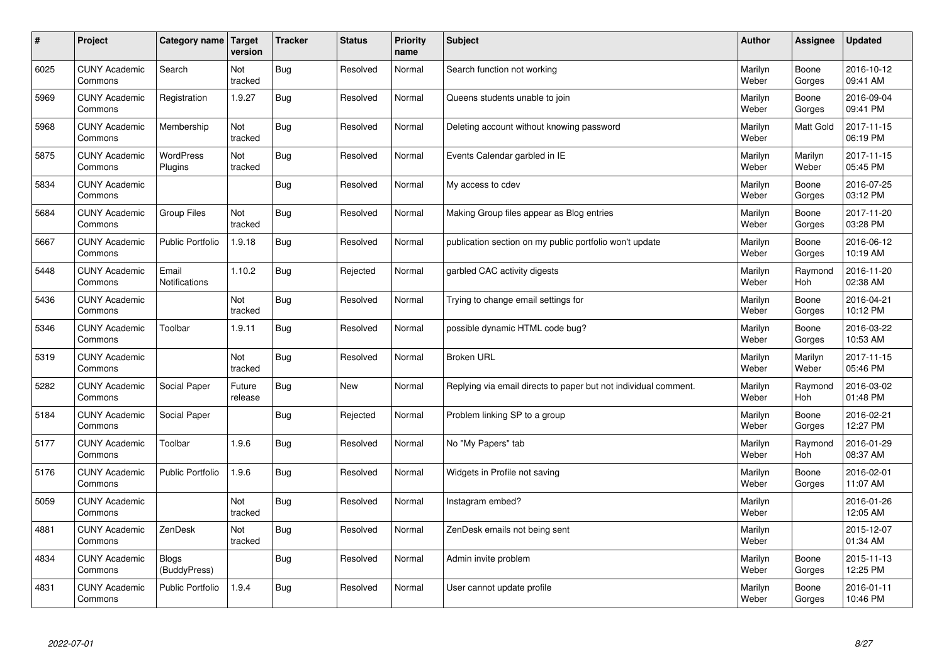| $\sharp$ | Project                         | Category name                 | Target<br>version | <b>Tracker</b> | <b>Status</b> | <b>Priority</b><br>name | <b>Subject</b>                                                  | <b>Author</b>    | Assignee         | <b>Updated</b>         |
|----------|---------------------------------|-------------------------------|-------------------|----------------|---------------|-------------------------|-----------------------------------------------------------------|------------------|------------------|------------------------|
| 6025     | <b>CUNY Academic</b><br>Commons | Search                        | Not<br>tracked    | <b>Bug</b>     | Resolved      | Normal                  | Search function not working                                     | Marilyn<br>Weber | Boone<br>Gorges  | 2016-10-12<br>09:41 AM |
| 5969     | <b>CUNY Academic</b><br>Commons | Registration                  | 1.9.27            | Bug            | Resolved      | Normal                  | Queens students unable to join                                  | Marilyn<br>Weber | Boone<br>Gorges  | 2016-09-04<br>09:41 PM |
| 5968     | <b>CUNY Academic</b><br>Commons | Membership                    | Not<br>tracked    | <b>Bug</b>     | Resolved      | Normal                  | Deleting account without knowing password                       | Marilyn<br>Weber | <b>Matt Gold</b> | 2017-11-15<br>06:19 PM |
| 5875     | <b>CUNY Academic</b><br>Commons | <b>WordPress</b><br>Plugins   | Not<br>tracked    | <b>Bug</b>     | Resolved      | Normal                  | Events Calendar garbled in IE                                   | Marilyn<br>Weber | Marilyn<br>Weber | 2017-11-15<br>05:45 PM |
| 5834     | <b>CUNY Academic</b><br>Commons |                               |                   | <b>Bug</b>     | Resolved      | Normal                  | My access to cdev                                               | Marilyn<br>Weber | Boone<br>Gorges  | 2016-07-25<br>03:12 PM |
| 5684     | <b>CUNY Academic</b><br>Commons | <b>Group Files</b>            | Not<br>tracked    | <b>Bug</b>     | Resolved      | Normal                  | Making Group files appear as Blog entries                       | Marilyn<br>Weber | Boone<br>Gorges  | 2017-11-20<br>03:28 PM |
| 5667     | <b>CUNY Academic</b><br>Commons | <b>Public Portfolio</b>       | 1.9.18            | <b>Bug</b>     | Resolved      | Normal                  | publication section on my public portfolio won't update         | Marilyn<br>Weber | Boone<br>Gorges  | 2016-06-12<br>10:19 AM |
| 5448     | <b>CUNY Academic</b><br>Commons | Email<br><b>Notifications</b> | 1.10.2            | <b>Bug</b>     | Rejected      | Normal                  | garbled CAC activity digests                                    | Marilyn<br>Weber | Raymond<br>Hoh   | 2016-11-20<br>02:38 AM |
| 5436     | <b>CUNY Academic</b><br>Commons |                               | Not<br>tracked    | <b>Bug</b>     | Resolved      | Normal                  | Trying to change email settings for                             | Marilyn<br>Weber | Boone<br>Gorges  | 2016-04-21<br>10:12 PM |
| 5346     | <b>CUNY Academic</b><br>Commons | Toolbar                       | 1.9.11            | Bug            | Resolved      | Normal                  | possible dynamic HTML code bug?                                 | Marilyn<br>Weber | Boone<br>Gorges  | 2016-03-22<br>10:53 AM |
| 5319     | <b>CUNY Academic</b><br>Commons |                               | Not<br>tracked    | <b>Bug</b>     | Resolved      | Normal                  | <b>Broken URL</b>                                               | Marilyn<br>Weber | Marilyn<br>Weber | 2017-11-15<br>05:46 PM |
| 5282     | <b>CUNY Academic</b><br>Commons | Social Paper                  | Future<br>release | <b>Bug</b>     | <b>New</b>    | Normal                  | Replying via email directs to paper but not individual comment. | Marilyn<br>Weber | Raymond<br>Hoh   | 2016-03-02<br>01:48 PM |
| 5184     | <b>CUNY Academic</b><br>Commons | Social Paper                  |                   | Bug            | Rejected      | Normal                  | Problem linking SP to a group                                   | Marilyn<br>Weber | Boone<br>Gorges  | 2016-02-21<br>12:27 PM |
| 5177     | <b>CUNY Academic</b><br>Commons | Toolbar                       | 1.9.6             | <b>Bug</b>     | Resolved      | Normal                  | No "My Papers" tab                                              | Marilyn<br>Weber | Raymond<br>Hoh   | 2016-01-29<br>08:37 AM |
| 5176     | <b>CUNY Academic</b><br>Commons | <b>Public Portfolio</b>       | 1.9.6             | <b>Bug</b>     | Resolved      | Normal                  | Widgets in Profile not saving                                   | Marilyn<br>Weber | Boone<br>Gorges  | 2016-02-01<br>11:07 AM |
| 5059     | <b>CUNY Academic</b><br>Commons |                               | Not<br>tracked    | <b>Bug</b>     | Resolved      | Normal                  | Instagram embed?                                                | Marilyn<br>Weber |                  | 2016-01-26<br>12:05 AM |
| 4881     | <b>CUNY Academic</b><br>Commons | ZenDesk                       | Not<br>tracked    | <b>Bug</b>     | Resolved      | Normal                  | ZenDesk emails not being sent                                   | Marilyn<br>Weber |                  | 2015-12-07<br>01:34 AM |
| 4834     | <b>CUNY Academic</b><br>Commons | <b>Blogs</b><br>(BuddyPress)  |                   | <b>Bug</b>     | Resolved      | Normal                  | Admin invite problem                                            | Marilyn<br>Weber | Boone<br>Gorges  | 2015-11-13<br>12:25 PM |
| 4831     | <b>CUNY Academic</b><br>Commons | <b>Public Portfolio</b>       | 1.9.4             | Bug            | Resolved      | Normal                  | User cannot update profile                                      | Marilyn<br>Weber | Boone<br>Gorges  | 2016-01-11<br>10:46 PM |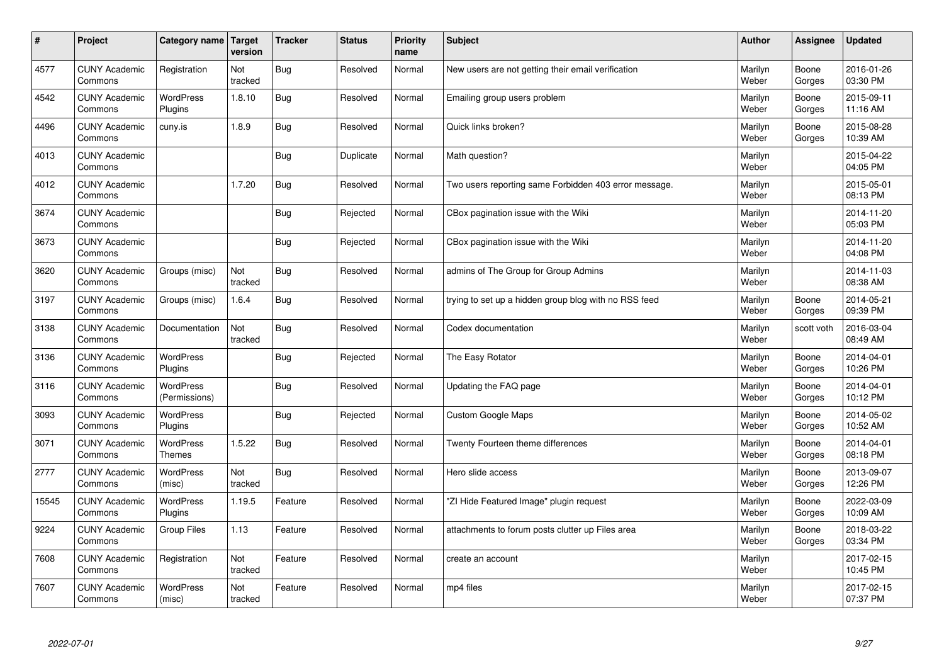| $\sharp$ | Project                         | Category name   Target            | version        | <b>Tracker</b> | <b>Status</b> | <b>Priority</b><br>name | <b>Subject</b>                                        | <b>Author</b>    | Assignee        | <b>Updated</b>         |
|----------|---------------------------------|-----------------------------------|----------------|----------------|---------------|-------------------------|-------------------------------------------------------|------------------|-----------------|------------------------|
| 4577     | <b>CUNY Academic</b><br>Commons | Registration                      | Not<br>tracked | Bug            | Resolved      | Normal                  | New users are not getting their email verification    | Marilyn<br>Weber | Boone<br>Gorges | 2016-01-26<br>03:30 PM |
| 4542     | <b>CUNY Academic</b><br>Commons | <b>WordPress</b><br>Plugins       | 1.8.10         | Bug            | Resolved      | Normal                  | Emailing group users problem                          | Marilyn<br>Weber | Boone<br>Gorges | 2015-09-11<br>11:16 AM |
| 4496     | <b>CUNY Academic</b><br>Commons | cuny.is                           | 1.8.9          | Bug            | Resolved      | Normal                  | Quick links broken?                                   | Marilyn<br>Weber | Boone<br>Gorges | 2015-08-28<br>10:39 AM |
| 4013     | <b>CUNY Academic</b><br>Commons |                                   |                | Bug            | Duplicate     | Normal                  | Math question?                                        | Marilyn<br>Weber |                 | 2015-04-22<br>04:05 PM |
| 4012     | <b>CUNY Academic</b><br>Commons |                                   | 1.7.20         | Bug            | Resolved      | Normal                  | Two users reporting same Forbidden 403 error message. | Marilyn<br>Weber |                 | 2015-05-01<br>08:13 PM |
| 3674     | <b>CUNY Academic</b><br>Commons |                                   |                | Bug            | Rejected      | Normal                  | CBox pagination issue with the Wiki                   | Marilyn<br>Weber |                 | 2014-11-20<br>05:03 PM |
| 3673     | <b>CUNY Academic</b><br>Commons |                                   |                | Bug            | Rejected      | Normal                  | CBox pagination issue with the Wiki                   | Marilyn<br>Weber |                 | 2014-11-20<br>04:08 PM |
| 3620     | <b>CUNY Academic</b><br>Commons | Groups (misc)                     | Not<br>tracked | Bug            | Resolved      | Normal                  | admins of The Group for Group Admins                  | Marilyn<br>Weber |                 | 2014-11-03<br>08:38 AM |
| 3197     | <b>CUNY Academic</b><br>Commons | Groups (misc)                     | 1.6.4          | Bug            | Resolved      | Normal                  | trying to set up a hidden group blog with no RSS feed | Marilyn<br>Weber | Boone<br>Gorges | 2014-05-21<br>09:39 PM |
| 3138     | <b>CUNY Academic</b><br>Commons | Documentation                     | Not<br>tracked | Bug            | Resolved      | Normal                  | Codex documentation                                   | Marilyn<br>Weber | scott voth      | 2016-03-04<br>08:49 AM |
| 3136     | <b>CUNY Academic</b><br>Commons | WordPress<br>Plugins              |                | Bug            | Rejected      | Normal                  | The Easy Rotator                                      | Marilyn<br>Weber | Boone<br>Gorges | 2014-04-01<br>10:26 PM |
| 3116     | <b>CUNY Academic</b><br>Commons | <b>WordPress</b><br>(Permissions) |                | <b>Bug</b>     | Resolved      | Normal                  | Updating the FAQ page                                 | Marilyn<br>Weber | Boone<br>Gorges | 2014-04-01<br>10:12 PM |
| 3093     | <b>CUNY Academic</b><br>Commons | <b>WordPress</b><br>Plugins       |                | Bug            | Rejected      | Normal                  | <b>Custom Google Maps</b>                             | Marilyn<br>Weber | Boone<br>Gorges | 2014-05-02<br>10:52 AM |
| 3071     | <b>CUNY Academic</b><br>Commons | <b>WordPress</b><br><b>Themes</b> | 1.5.22         | Bug            | Resolved      | Normal                  | Twenty Fourteen theme differences                     | Marilyn<br>Weber | Boone<br>Gorges | 2014-04-01<br>08:18 PM |
| 2777     | <b>CUNY Academic</b><br>Commons | <b>WordPress</b><br>(misc)        | Not<br>tracked | Bug            | Resolved      | Normal                  | Hero slide access                                     | Marilyn<br>Weber | Boone<br>Gorges | 2013-09-07<br>12:26 PM |
| 15545    | <b>CUNY Academic</b><br>Commons | <b>WordPress</b><br>Plugins       | 1.19.5         | Feature        | Resolved      | Normal                  | "ZI Hide Featured Image" plugin request               | Marilyn<br>Weber | Boone<br>Gorges | 2022-03-09<br>10:09 AM |
| 9224     | <b>CUNY Academic</b><br>Commons | Group Files                       | 1.13           | Feature        | Resolved      | Normal                  | attachments to forum posts clutter up Files area      | Marilyn<br>Weber | Boone<br>Gorges | 2018-03-22<br>03:34 PM |
| 7608     | <b>CUNY Academic</b><br>Commons | Registration                      | Not<br>tracked | Feature        | Resolved      | Normal                  | create an account                                     | Marilyn<br>Weber |                 | 2017-02-15<br>10:45 PM |
| 7607     | <b>CUNY Academic</b><br>Commons | <b>WordPress</b><br>(misc)        | Not<br>tracked | Feature        | Resolved      | Normal                  | mp4 files                                             | Marilyn<br>Weber |                 | 2017-02-15<br>07:37 PM |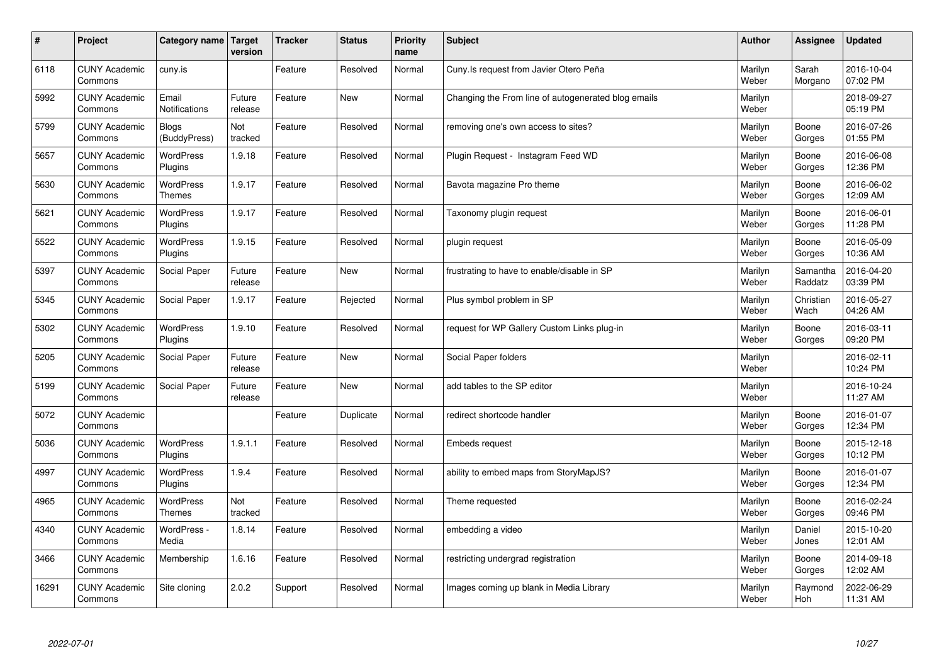| $\vert$ # | Project                         | Category name   Target        | version           | <b>Tracker</b> | <b>Status</b> | <b>Priority</b><br>name | <b>Subject</b>                                      | <b>Author</b>    | Assignee              | <b>Updated</b>         |
|-----------|---------------------------------|-------------------------------|-------------------|----------------|---------------|-------------------------|-----------------------------------------------------|------------------|-----------------------|------------------------|
| 6118      | <b>CUNY Academic</b><br>Commons | cuny.is                       |                   | Feature        | Resolved      | Normal                  | Cuny. Is request from Javier Otero Peña             | Marilyn<br>Weber | Sarah<br>Morgano      | 2016-10-04<br>07:02 PM |
| 5992      | <b>CUNY Academic</b><br>Commons | Email<br><b>Notifications</b> | Future<br>release | Feature        | <b>New</b>    | Normal                  | Changing the From line of autogenerated blog emails | Marilyn<br>Weber |                       | 2018-09-27<br>05:19 PM |
| 5799      | <b>CUNY Academic</b><br>Commons | <b>Blogs</b><br>(BuddyPress)  | Not<br>tracked    | Feature        | Resolved      | Normal                  | removing one's own access to sites?                 | Marilyn<br>Weber | Boone<br>Gorges       | 2016-07-26<br>01:55 PM |
| 5657      | <b>CUNY Academic</b><br>Commons | WordPress<br>Plugins          | 1.9.18            | Feature        | Resolved      | Normal                  | Plugin Request - Instagram Feed WD                  | Marilyn<br>Weber | Boone<br>Gorges       | 2016-06-08<br>12:36 PM |
| 5630      | <b>CUNY Academic</b><br>Commons | <b>WordPress</b><br>Themes    | 1.9.17            | Feature        | Resolved      | Normal                  | Bavota magazine Pro theme                           | Marilyn<br>Weber | Boone<br>Gorges       | 2016-06-02<br>12:09 AM |
| 5621      | <b>CUNY Academic</b><br>Commons | WordPress<br>Plugins          | 1.9.17            | Feature        | Resolved      | Normal                  | Taxonomy plugin request                             | Marilyn<br>Weber | Boone<br>Gorges       | 2016-06-01<br>11:28 PM |
| 5522      | <b>CUNY Academic</b><br>Commons | <b>WordPress</b><br>Plugins   | 1.9.15            | Feature        | Resolved      | Normal                  | plugin request                                      | Marilyn<br>Weber | Boone<br>Gorges       | 2016-05-09<br>10:36 AM |
| 5397      | <b>CUNY Academic</b><br>Commons | Social Paper                  | Future<br>release | Feature        | <b>New</b>    | Normal                  | frustrating to have to enable/disable in SP         | Marilyn<br>Weber | Samantha<br>Raddatz   | 2016-04-20<br>03:39 PM |
| 5345      | <b>CUNY Academic</b><br>Commons | Social Paper                  | 1.9.17            | Feature        | Rejected      | Normal                  | Plus symbol problem in SP                           | Marilyn<br>Weber | Christian<br>Wach     | 2016-05-27<br>04:26 AM |
| 5302      | <b>CUNY Academic</b><br>Commons | WordPress<br>Plugins          | 1.9.10            | Feature        | Resolved      | Normal                  | request for WP Gallery Custom Links plug-in         | Marilyn<br>Weber | Boone<br>Gorges       | 2016-03-11<br>09:20 PM |
| 5205      | <b>CUNY Academic</b><br>Commons | Social Paper                  | Future<br>release | Feature        | <b>New</b>    | Normal                  | Social Paper folders                                | Marilyn<br>Weber |                       | 2016-02-11<br>10:24 PM |
| 5199      | <b>CUNY Academic</b><br>Commons | Social Paper                  | Future<br>release | Feature        | <b>New</b>    | Normal                  | add tables to the SP editor                         | Marilyn<br>Weber |                       | 2016-10-24<br>11:27 AM |
| 5072      | <b>CUNY Academic</b><br>Commons |                               |                   | Feature        | Duplicate     | Normal                  | redirect shortcode handler                          | Marilyn<br>Weber | Boone<br>Gorges       | 2016-01-07<br>12:34 PM |
| 5036      | <b>CUNY Academic</b><br>Commons | <b>WordPress</b><br>Plugins   | 1.9.1.1           | Feature        | Resolved      | Normal                  | Embeds request                                      | Marilyn<br>Weber | Boone<br>Gorges       | 2015-12-18<br>10:12 PM |
| 4997      | <b>CUNY Academic</b><br>Commons | WordPress<br>Plugins          | 1.9.4             | Feature        | Resolved      | Normal                  | ability to embed maps from StoryMapJS?              | Marilyn<br>Weber | Boone<br>Gorges       | 2016-01-07<br>12:34 PM |
| 4965      | <b>CUNY Academic</b><br>Commons | WordPress<br><b>Themes</b>    | Not<br>tracked    | Feature        | Resolved      | Normal                  | Theme requested                                     | Marilyn<br>Weber | Boone<br>Gorges       | 2016-02-24<br>09:46 PM |
| 4340      | <b>CUNY Academic</b><br>Commons | WordPress -<br>Media          | 1.8.14            | Feature        | Resolved      | Normal                  | embedding a video                                   | Marilyn<br>Weber | Daniel<br>Jones       | 2015-10-20<br>12:01 AM |
| 3466      | <b>CUNY Academic</b><br>Commons | Membership                    | 1.6.16            | Feature        | Resolved      | Normal                  | restricting undergrad registration                  | Marilyn<br>Weber | Boone<br>Gorges       | 2014-09-18<br>12:02 AM |
| 16291     | <b>CUNY Academic</b><br>Commons | Site cloning                  | 2.0.2             | Support        | Resolved      | Normal                  | Images coming up blank in Media Library             | Marilyn<br>Weber | Raymond<br><b>Hoh</b> | 2022-06-29<br>11:31 AM |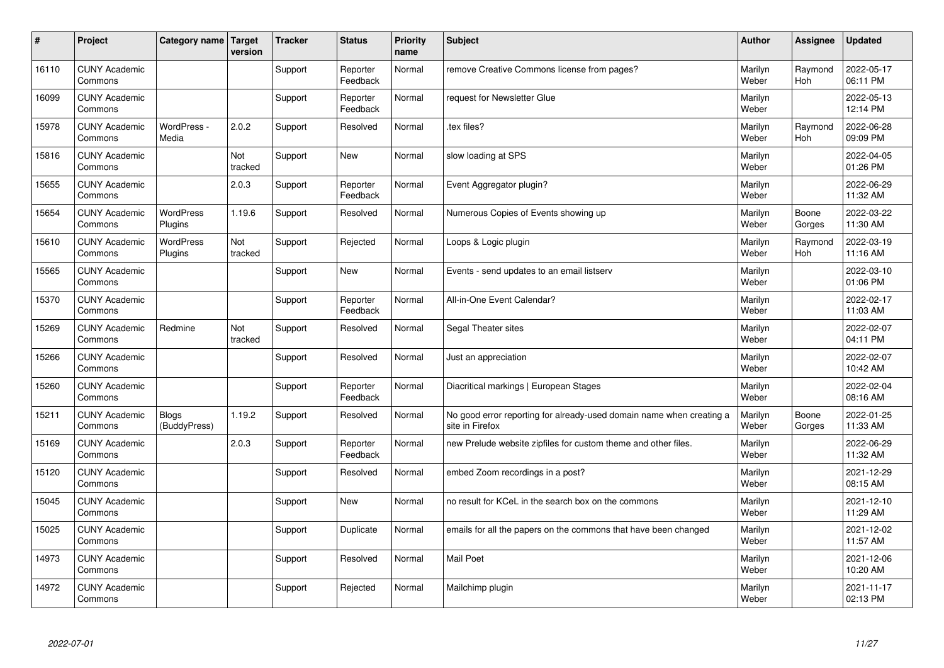| #     | Project                         | Category name                | <b>Target</b><br>version | <b>Tracker</b> | <b>Status</b>        | <b>Priority</b><br>name | <b>Subject</b>                                                                          | <b>Author</b>    | Assignee              | <b>Updated</b>         |
|-------|---------------------------------|------------------------------|--------------------------|----------------|----------------------|-------------------------|-----------------------------------------------------------------------------------------|------------------|-----------------------|------------------------|
| 16110 | <b>CUNY Academic</b><br>Commons |                              |                          | Support        | Reporter<br>Feedback | Normal                  | remove Creative Commons license from pages?                                             | Marilyn<br>Weber | Raymond<br><b>Hoh</b> | 2022-05-17<br>06:11 PM |
| 16099 | <b>CUNY Academic</b><br>Commons |                              |                          | Support        | Reporter<br>Feedback | Normal                  | request for Newsletter Glue                                                             | Marilyn<br>Weber |                       | 2022-05-13<br>12:14 PM |
| 15978 | <b>CUNY Academic</b><br>Commons | WordPress -<br>Media         | 2.0.2                    | Support        | Resolved             | Normal                  | .tex files?                                                                             | Marilyn<br>Weber | Raymond<br><b>Hoh</b> | 2022-06-28<br>09:09 PM |
| 15816 | <b>CUNY Academic</b><br>Commons |                              | Not<br>tracked           | Support        | <b>New</b>           | Normal                  | slow loading at SPS                                                                     | Marilyn<br>Weber |                       | 2022-04-05<br>01:26 PM |
| 15655 | <b>CUNY Academic</b><br>Commons |                              | 2.0.3                    | Support        | Reporter<br>Feedback | Normal                  | Event Aggregator plugin?                                                                | Marilyn<br>Weber |                       | 2022-06-29<br>11:32 AM |
| 15654 | <b>CUNY Academic</b><br>Commons | <b>WordPress</b><br>Plugins  | 1.19.6                   | Support        | Resolved             | Normal                  | Numerous Copies of Events showing up                                                    | Marilyn<br>Weber | Boone<br>Gorges       | 2022-03-22<br>11:30 AM |
| 15610 | <b>CUNY Academic</b><br>Commons | WordPress<br>Plugins         | Not<br>tracked           | Support        | Rejected             | Normal                  | Loops & Logic plugin                                                                    | Marilyn<br>Weber | Raymond<br>Hoh        | 2022-03-19<br>11:16 AM |
| 15565 | <b>CUNY Academic</b><br>Commons |                              |                          | Support        | <b>New</b>           | Normal                  | Events - send updates to an email listserv                                              | Marilyn<br>Weber |                       | 2022-03-10<br>01:06 PM |
| 15370 | <b>CUNY Academic</b><br>Commons |                              |                          | Support        | Reporter<br>Feedback | Normal                  | All-in-One Event Calendar?                                                              | Marilyn<br>Weber |                       | 2022-02-17<br>11:03 AM |
| 15269 | <b>CUNY Academic</b><br>Commons | Redmine                      | Not<br>tracked           | Support        | Resolved             | Normal                  | Segal Theater sites                                                                     | Marilyn<br>Weber |                       | 2022-02-07<br>04:11 PM |
| 15266 | <b>CUNY Academic</b><br>Commons |                              |                          | Support        | Resolved             | Normal                  | Just an appreciation                                                                    | Marilyn<br>Weber |                       | 2022-02-07<br>10:42 AM |
| 15260 | <b>CUNY Academic</b><br>Commons |                              |                          | Support        | Reporter<br>Feedback | Normal                  | Diacritical markings   European Stages                                                  | Marilyn<br>Weber |                       | 2022-02-04<br>08:16 AM |
| 15211 | <b>CUNY Academic</b><br>Commons | <b>Blogs</b><br>(BuddyPress) | 1.19.2                   | Support        | Resolved             | Normal                  | No good error reporting for already-used domain name when creating a<br>site in Firefox | Marilyn<br>Weber | Boone<br>Gorges       | 2022-01-25<br>11:33 AM |
| 15169 | <b>CUNY Academic</b><br>Commons |                              | 2.0.3                    | Support        | Reporter<br>Feedback | Normal                  | new Prelude website zipfiles for custom theme and other files.                          | Marilyn<br>Weber |                       | 2022-06-29<br>11:32 AM |
| 15120 | <b>CUNY Academic</b><br>Commons |                              |                          | Support        | Resolved             | Normal                  | embed Zoom recordings in a post?                                                        | Marilyn<br>Weber |                       | 2021-12-29<br>08:15 AM |
| 15045 | <b>CUNY Academic</b><br>Commons |                              |                          | Support        | <b>New</b>           | Normal                  | no result for KCeL in the search box on the commons                                     | Marilyn<br>Weber |                       | 2021-12-10<br>11:29 AM |
| 15025 | <b>CUNY Academic</b><br>Commons |                              |                          | Support        | Duplicate            | Normal                  | emails for all the papers on the commons that have been changed                         | Marilyn<br>Weber |                       | 2021-12-02<br>11:57 AM |
| 14973 | <b>CUNY Academic</b><br>Commons |                              |                          | Support        | Resolved             | Normal                  | <b>Mail Poet</b>                                                                        | Marilyn<br>Weber |                       | 2021-12-06<br>10:20 AM |
| 14972 | <b>CUNY Academic</b><br>Commons |                              |                          | Support        | Rejected             | Normal                  | Mailchimp plugin                                                                        | Marilyn<br>Weber |                       | 2021-11-17<br>02:13 PM |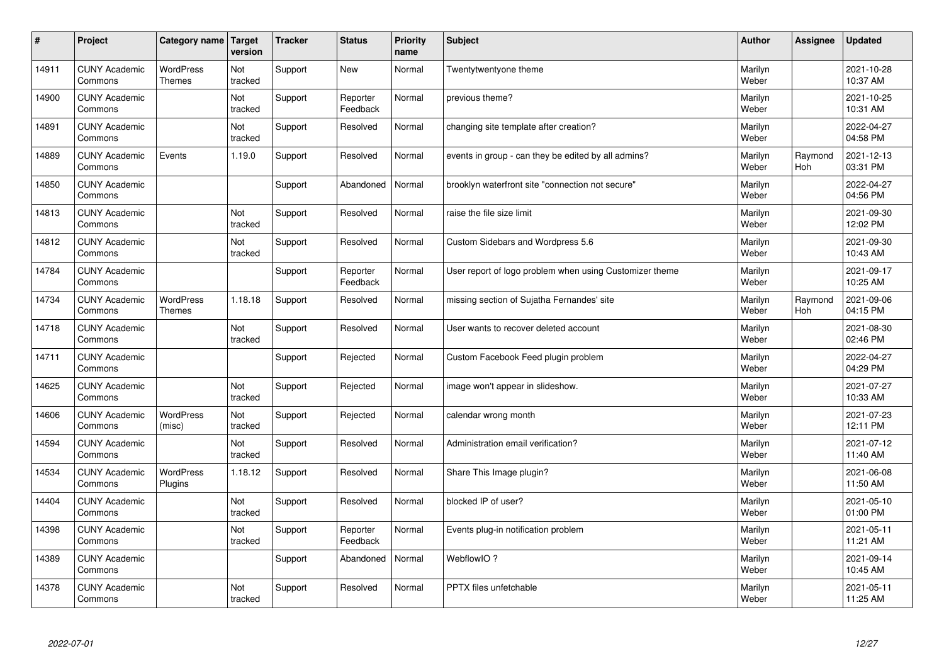| $\sharp$ | Project                         | Category name                     | Target<br>version | <b>Tracker</b> | <b>Status</b>        | <b>Priority</b><br>name | <b>Subject</b>                                          | <b>Author</b>    | Assignee       | <b>Updated</b>         |
|----------|---------------------------------|-----------------------------------|-------------------|----------------|----------------------|-------------------------|---------------------------------------------------------|------------------|----------------|------------------------|
| 14911    | <b>CUNY Academic</b><br>Commons | <b>WordPress</b><br><b>Themes</b> | Not<br>tracked    | Support        | New                  | Normal                  | Twentytwentyone theme                                   | Marilyn<br>Weber |                | 2021-10-28<br>10:37 AM |
| 14900    | <b>CUNY Academic</b><br>Commons |                                   | Not<br>tracked    | Support        | Reporter<br>Feedback | Normal                  | previous theme?                                         | Marilyn<br>Weber |                | 2021-10-25<br>10:31 AM |
| 14891    | <b>CUNY Academic</b><br>Commons |                                   | Not<br>tracked    | Support        | Resolved             | Normal                  | changing site template after creation?                  | Marilyn<br>Weber |                | 2022-04-27<br>04:58 PM |
| 14889    | <b>CUNY Academic</b><br>Commons | Events                            | 1.19.0            | Support        | Resolved             | Normal                  | events in group - can they be edited by all admins?     | Marilyn<br>Weber | Raymond<br>Hoh | 2021-12-13<br>03:31 PM |
| 14850    | <b>CUNY Academic</b><br>Commons |                                   |                   | Support        | Abandoned            | Normal                  | brooklyn waterfront site "connection not secure"        | Marilyn<br>Weber |                | 2022-04-27<br>04:56 PM |
| 14813    | <b>CUNY Academic</b><br>Commons |                                   | Not<br>tracked    | Support        | Resolved             | Normal                  | raise the file size limit                               | Marilyn<br>Weber |                | 2021-09-30<br>12:02 PM |
| 14812    | <b>CUNY Academic</b><br>Commons |                                   | Not<br>tracked    | Support        | Resolved             | Normal                  | Custom Sidebars and Wordpress 5.6                       | Marilyn<br>Weber |                | 2021-09-30<br>10:43 AM |
| 14784    | <b>CUNY Academic</b><br>Commons |                                   |                   | Support        | Reporter<br>Feedback | Normal                  | User report of logo problem when using Customizer theme | Marilyn<br>Weber |                | 2021-09-17<br>10:25 AM |
| 14734    | <b>CUNY Academic</b><br>Commons | <b>WordPress</b><br><b>Themes</b> | 1.18.18           | Support        | Resolved             | Normal                  | missing section of Sujatha Fernandes' site              | Marilyn<br>Weber | Raymond<br>Hoh | 2021-09-06<br>04:15 PM |
| 14718    | <b>CUNY Academic</b><br>Commons |                                   | Not<br>tracked    | Support        | Resolved             | Normal                  | User wants to recover deleted account                   | Marilyn<br>Weber |                | 2021-08-30<br>02:46 PM |
| 14711    | <b>CUNY Academic</b><br>Commons |                                   |                   | Support        | Rejected             | Normal                  | Custom Facebook Feed plugin problem                     | Marilyn<br>Weber |                | 2022-04-27<br>04:29 PM |
| 14625    | <b>CUNY Academic</b><br>Commons |                                   | Not<br>tracked    | Support        | Rejected             | Normal                  | image won't appear in slideshow.                        | Marilyn<br>Weber |                | 2021-07-27<br>10:33 AM |
| 14606    | <b>CUNY Academic</b><br>Commons | <b>WordPress</b><br>(misc)        | Not<br>tracked    | Support        | Rejected             | Normal                  | calendar wrong month                                    | Marilyn<br>Weber |                | 2021-07-23<br>12:11 PM |
| 14594    | <b>CUNY Academic</b><br>Commons |                                   | Not<br>tracked    | Support        | Resolved             | Normal                  | Administration email verification?                      | Marilyn<br>Weber |                | 2021-07-12<br>11:40 AM |
| 14534    | <b>CUNY Academic</b><br>Commons | WordPress<br>Plugins              | 1.18.12           | Support        | Resolved             | Normal                  | Share This Image plugin?                                | Marilyn<br>Weber |                | 2021-06-08<br>11:50 AM |
| 14404    | <b>CUNY Academic</b><br>Commons |                                   | Not<br>tracked    | Support        | Resolved             | Normal                  | blocked IP of user?                                     | Marilyn<br>Weber |                | 2021-05-10<br>01:00 PM |
| 14398    | <b>CUNY Academic</b><br>Commons |                                   | Not<br>tracked    | Support        | Reporter<br>Feedback | Normal                  | Events plug-in notification problem                     | Marilyn<br>Weber |                | 2021-05-11<br>11:21 AM |
| 14389    | <b>CUNY Academic</b><br>Commons |                                   |                   | Support        | Abandoned            | Normal                  | WebflowIO?                                              | Marilyn<br>Weber |                | 2021-09-14<br>10:45 AM |
| 14378    | <b>CUNY Academic</b><br>Commons |                                   | Not<br>tracked    | Support        | Resolved             | Normal                  | PPTX files unfetchable                                  | Marilyn<br>Weber |                | 2021-05-11<br>11:25 AM |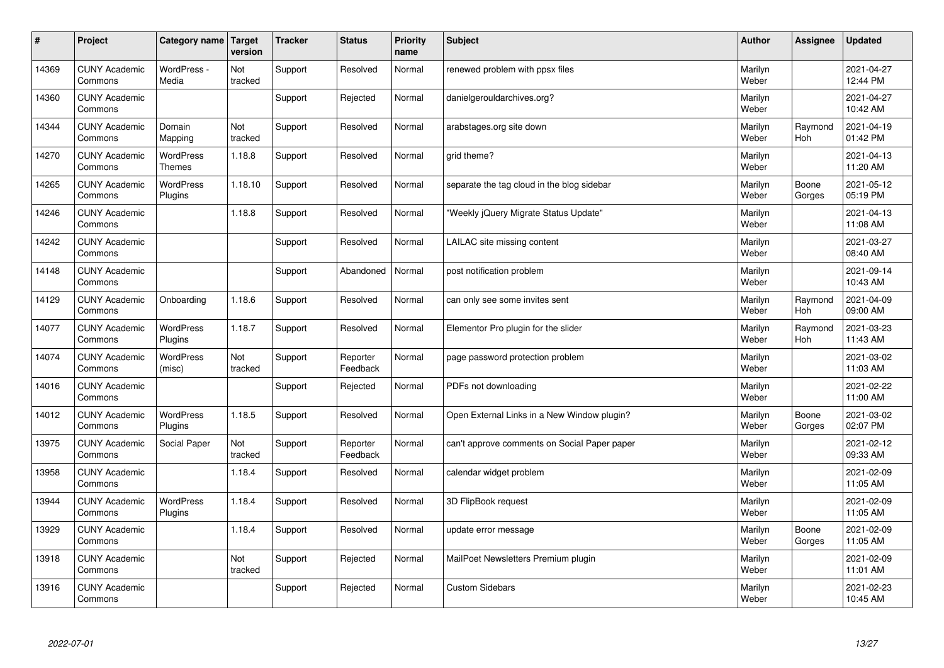| #     | Project                         | Category name   Target            | version        | <b>Tracker</b> | <b>Status</b>        | <b>Priority</b><br>name | <b>Subject</b>                               | <b>Author</b>    | Assignee              | <b>Updated</b>         |
|-------|---------------------------------|-----------------------------------|----------------|----------------|----------------------|-------------------------|----------------------------------------------|------------------|-----------------------|------------------------|
| 14369 | <b>CUNY Academic</b><br>Commons | WordPress -<br>Media              | Not<br>tracked | Support        | Resolved             | Normal                  | renewed problem with ppsx files              | Marilyn<br>Weber |                       | 2021-04-27<br>12:44 PM |
| 14360 | <b>CUNY Academic</b><br>Commons |                                   |                | Support        | Rejected             | Normal                  | danielgerouldarchives.org?                   | Marilyn<br>Weber |                       | 2021-04-27<br>10:42 AM |
| 14344 | <b>CUNY Academic</b><br>Commons | Domain<br>Mapping                 | Not<br>tracked | Support        | Resolved             | Normal                  | arabstages.org site down                     | Marilyn<br>Weber | Raymond<br>Hoh        | 2021-04-19<br>01:42 PM |
| 14270 | <b>CUNY Academic</b><br>Commons | <b>WordPress</b><br><b>Themes</b> | 1.18.8         | Support        | Resolved             | Normal                  | grid theme?                                  | Marilyn<br>Weber |                       | 2021-04-13<br>11:20 AM |
| 14265 | <b>CUNY Academic</b><br>Commons | <b>WordPress</b><br>Plugins       | 1.18.10        | Support        | Resolved             | Normal                  | separate the tag cloud in the blog sidebar   | Marilyn<br>Weber | Boone<br>Gorges       | 2021-05-12<br>05:19 PM |
| 14246 | <b>CUNY Academic</b><br>Commons |                                   | 1.18.8         | Support        | Resolved             | Normal                  | 'Weekly jQuery Migrate Status Update"        | Marilyn<br>Weber |                       | 2021-04-13<br>11:08 AM |
| 14242 | <b>CUNY Academic</b><br>Commons |                                   |                | Support        | Resolved             | Normal                  | LAILAC site missing content                  | Marilyn<br>Weber |                       | 2021-03-27<br>08:40 AM |
| 14148 | <b>CUNY Academic</b><br>Commons |                                   |                | Support        | Abandoned            | Normal                  | post notification problem                    | Marilyn<br>Weber |                       | 2021-09-14<br>10:43 AM |
| 14129 | <b>CUNY Academic</b><br>Commons | Onboarding                        | 1.18.6         | Support        | Resolved             | Normal                  | can only see some invites sent               | Marilyn<br>Weber | Raymond<br>Hoh        | 2021-04-09<br>09:00 AM |
| 14077 | <b>CUNY Academic</b><br>Commons | <b>WordPress</b><br>Plugins       | 1.18.7         | Support        | Resolved             | Normal                  | Elementor Pro plugin for the slider          | Marilyn<br>Weber | Raymond<br><b>Hoh</b> | 2021-03-23<br>11:43 AM |
| 14074 | <b>CUNY Academic</b><br>Commons | <b>WordPress</b><br>(misc)        | Not<br>tracked | Support        | Reporter<br>Feedback | Normal                  | page password protection problem             | Marilyn<br>Weber |                       | 2021-03-02<br>11:03 AM |
| 14016 | <b>CUNY Academic</b><br>Commons |                                   |                | Support        | Rejected             | Normal                  | PDFs not downloading                         | Marilyn<br>Weber |                       | 2021-02-22<br>11:00 AM |
| 14012 | <b>CUNY Academic</b><br>Commons | <b>WordPress</b><br>Plugins       | 1.18.5         | Support        | Resolved             | Normal                  | Open External Links in a New Window plugin?  | Marilyn<br>Weber | Boone<br>Gorges       | 2021-03-02<br>02:07 PM |
| 13975 | <b>CUNY Academic</b><br>Commons | Social Paper                      | Not<br>tracked | Support        | Reporter<br>Feedback | Normal                  | can't approve comments on Social Paper paper | Marilyn<br>Weber |                       | 2021-02-12<br>09:33 AM |
| 13958 | <b>CUNY Academic</b><br>Commons |                                   | 1.18.4         | Support        | Resolved             | Normal                  | calendar widget problem                      | Marilyn<br>Weber |                       | 2021-02-09<br>11:05 AM |
| 13944 | <b>CUNY Academic</b><br>Commons | <b>WordPress</b><br>Plugins       | 1.18.4         | Support        | Resolved             | Normal                  | 3D FlipBook request                          | Marilyn<br>Weber |                       | 2021-02-09<br>11:05 AM |
| 13929 | <b>CUNY Academic</b><br>Commons |                                   | 1.18.4         | Support        | Resolved             | Normal                  | update error message                         | Marilyn<br>Weber | Boone<br>Gorges       | 2021-02-09<br>11:05 AM |
| 13918 | <b>CUNY Academic</b><br>Commons |                                   | Not<br>tracked | Support        | Rejected             | Normal                  | MailPoet Newsletters Premium plugin          | Marilyn<br>Weber |                       | 2021-02-09<br>11:01 AM |
| 13916 | <b>CUNY Academic</b><br>Commons |                                   |                | Support        | Rejected             | Normal                  | <b>Custom Sidebars</b>                       | Marilyn<br>Weber |                       | 2021-02-23<br>10:45 AM |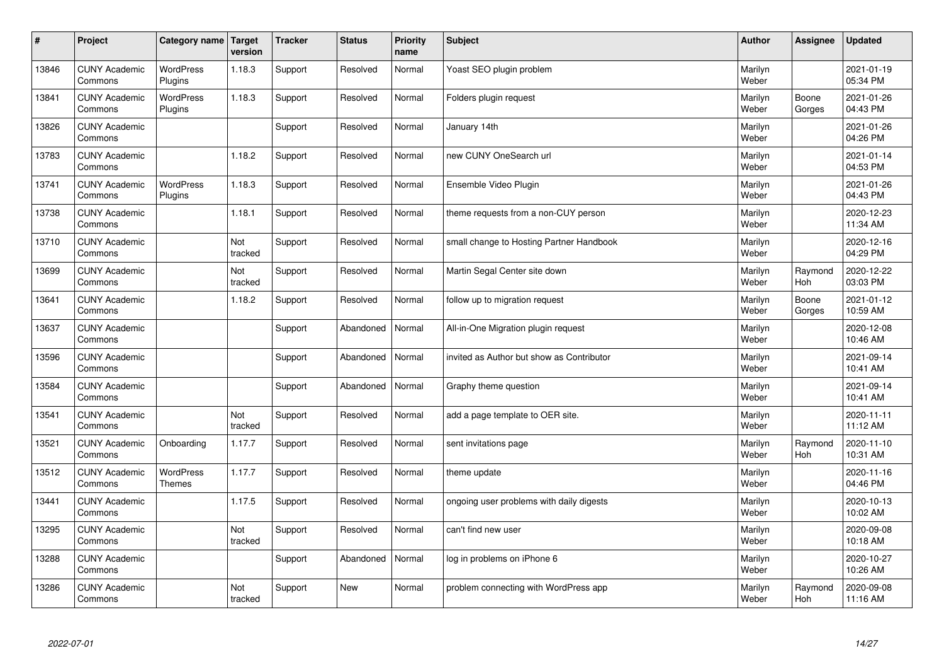| $\sharp$ | Project                         | Category name   Target            | version        | <b>Tracker</b> | <b>Status</b> | <b>Priority</b><br>name | <b>Subject</b>                            | <b>Author</b>    | <b>Assignee</b> | <b>Updated</b>         |
|----------|---------------------------------|-----------------------------------|----------------|----------------|---------------|-------------------------|-------------------------------------------|------------------|-----------------|------------------------|
| 13846    | <b>CUNY Academic</b><br>Commons | <b>WordPress</b><br>Plugins       | 1.18.3         | Support        | Resolved      | Normal                  | Yoast SEO plugin problem                  | Marilyn<br>Weber |                 | 2021-01-19<br>05:34 PM |
| 13841    | <b>CUNY Academic</b><br>Commons | <b>WordPress</b><br>Plugins       | 1.18.3         | Support        | Resolved      | Normal                  | Folders plugin request                    | Marilyn<br>Weber | Boone<br>Gorges | 2021-01-26<br>04:43 PM |
| 13826    | <b>CUNY Academic</b><br>Commons |                                   |                | Support        | Resolved      | Normal                  | January 14th                              | Marilyn<br>Weber |                 | 2021-01-26<br>04:26 PM |
| 13783    | <b>CUNY Academic</b><br>Commons |                                   | 1.18.2         | Support        | Resolved      | Normal                  | new CUNY OneSearch url                    | Marilyn<br>Weber |                 | 2021-01-14<br>04:53 PM |
| 13741    | <b>CUNY Academic</b><br>Commons | <b>WordPress</b><br>Plugins       | 1.18.3         | Support        | Resolved      | Normal                  | Ensemble Video Plugin                     | Marilyn<br>Weber |                 | 2021-01-26<br>04:43 PM |
| 13738    | <b>CUNY Academic</b><br>Commons |                                   | 1.18.1         | Support        | Resolved      | Normal                  | theme requests from a non-CUY person      | Marilyn<br>Weber |                 | 2020-12-23<br>11:34 AM |
| 13710    | <b>CUNY Academic</b><br>Commons |                                   | Not<br>tracked | Support        | Resolved      | Normal                  | small change to Hosting Partner Handbook  | Marilyn<br>Weber |                 | 2020-12-16<br>04:29 PM |
| 13699    | <b>CUNY Academic</b><br>Commons |                                   | Not<br>tracked | Support        | Resolved      | Normal                  | Martin Segal Center site down             | Marilyn<br>Weber | Raymond<br>Hoh  | 2020-12-22<br>03:03 PM |
| 13641    | <b>CUNY Academic</b><br>Commons |                                   | 1.18.2         | Support        | Resolved      | Normal                  | follow up to migration request            | Marilyn<br>Weber | Boone<br>Gorges | 2021-01-12<br>10:59 AM |
| 13637    | <b>CUNY Academic</b><br>Commons |                                   |                | Support        | Abandoned     | Normal                  | All-in-One Migration plugin request       | Marilyn<br>Weber |                 | 2020-12-08<br>10:46 AM |
| 13596    | <b>CUNY Academic</b><br>Commons |                                   |                | Support        | Abandoned     | Normal                  | invited as Author but show as Contributor | Marilyn<br>Weber |                 | 2021-09-14<br>10:41 AM |
| 13584    | <b>CUNY Academic</b><br>Commons |                                   |                | Support        | Abandoned     | Normal                  | Graphy theme question                     | Marilyn<br>Weber |                 | 2021-09-14<br>10:41 AM |
| 13541    | <b>CUNY Academic</b><br>Commons |                                   | Not<br>tracked | Support        | Resolved      | Normal                  | add a page template to OER site.          | Marilyn<br>Weber |                 | 2020-11-11<br>11:12 AM |
| 13521    | <b>CUNY Academic</b><br>Commons | Onboarding                        | 1.17.7         | Support        | Resolved      | Normal                  | sent invitations page                     | Marilyn<br>Weber | Raymond<br>Hoh  | 2020-11-10<br>10:31 AM |
| 13512    | <b>CUNY Academic</b><br>Commons | <b>WordPress</b><br><b>Themes</b> | 1.17.7         | Support        | Resolved      | Normal                  | theme update                              | Marilyn<br>Weber |                 | 2020-11-16<br>04:46 PM |
| 13441    | <b>CUNY Academic</b><br>Commons |                                   | 1.17.5         | Support        | Resolved      | Normal                  | ongoing user problems with daily digests  | Marilyn<br>Weber |                 | 2020-10-13<br>10:02 AM |
| 13295    | <b>CUNY Academic</b><br>Commons |                                   | Not<br>tracked | Support        | Resolved      | Normal                  | can't find new user                       | Marilyn<br>Weber |                 | 2020-09-08<br>10:18 AM |
| 13288    | <b>CUNY Academic</b><br>Commons |                                   |                | Support        | Abandoned     | Normal                  | log in problems on iPhone 6               | Marilyn<br>Weber |                 | 2020-10-27<br>10:26 AM |
| 13286    | <b>CUNY Academic</b><br>Commons |                                   | Not<br>tracked | Support        | <b>New</b>    | Normal                  | problem connecting with WordPress app     | Marilyn<br>Weber | Raymond<br>Hoh  | 2020-09-08<br>11:16 AM |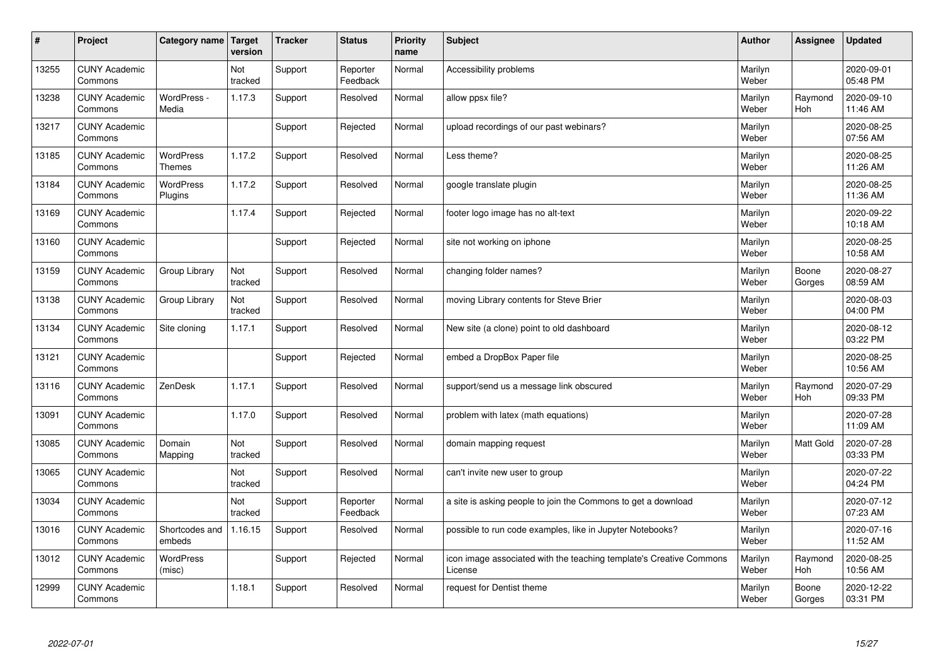| $\vert$ # | Project                         | Category name   Target            | version        | <b>Tracker</b> | <b>Status</b>        | <b>Priority</b><br>name | <b>Subject</b>                                                                 | <b>Author</b>    | Assignee        | <b>Updated</b>         |
|-----------|---------------------------------|-----------------------------------|----------------|----------------|----------------------|-------------------------|--------------------------------------------------------------------------------|------------------|-----------------|------------------------|
| 13255     | <b>CUNY Academic</b><br>Commons |                                   | Not<br>tracked | Support        | Reporter<br>Feedback | Normal                  | Accessibility problems                                                         | Marilyn<br>Weber |                 | 2020-09-01<br>05:48 PM |
| 13238     | <b>CUNY Academic</b><br>Commons | WordPress -<br>Media              | 1.17.3         | Support        | Resolved             | Normal                  | allow ppsx file?                                                               | Marilyn<br>Weber | Raymond<br>Hoh  | 2020-09-10<br>11:46 AM |
| 13217     | <b>CUNY Academic</b><br>Commons |                                   |                | Support        | Rejected             | Normal                  | upload recordings of our past webinars?                                        | Marilyn<br>Weber |                 | 2020-08-25<br>07:56 AM |
| 13185     | <b>CUNY Academic</b><br>Commons | <b>WordPress</b><br><b>Themes</b> | 1.17.2         | Support        | Resolved             | Normal                  | Less theme?                                                                    | Marilyn<br>Weber |                 | 2020-08-25<br>11:26 AM |
| 13184     | <b>CUNY Academic</b><br>Commons | <b>WordPress</b><br>Plugins       | 1.17.2         | Support        | Resolved             | Normal                  | google translate plugin                                                        | Marilyn<br>Weber |                 | 2020-08-25<br>11:36 AM |
| 13169     | <b>CUNY Academic</b><br>Commons |                                   | 1.17.4         | Support        | Rejected             | Normal                  | footer logo image has no alt-text                                              | Marilyn<br>Weber |                 | 2020-09-22<br>10:18 AM |
| 13160     | <b>CUNY Academic</b><br>Commons |                                   |                | Support        | Rejected             | Normal                  | site not working on iphone                                                     | Marilyn<br>Weber |                 | 2020-08-25<br>10:58 AM |
| 13159     | <b>CUNY Academic</b><br>Commons | Group Library                     | Not<br>tracked | Support        | Resolved             | Normal                  | changing folder names?                                                         | Marilyn<br>Weber | Boone<br>Gorges | 2020-08-27<br>08:59 AM |
| 13138     | <b>CUNY Academic</b><br>Commons | Group Library                     | Not<br>tracked | Support        | Resolved             | Normal                  | moving Library contents for Steve Brier                                        | Marilyn<br>Weber |                 | 2020-08-03<br>04:00 PM |
| 13134     | <b>CUNY Academic</b><br>Commons | Site cloning                      | 1.17.1         | Support        | Resolved             | Normal                  | New site (a clone) point to old dashboard                                      | Marilyn<br>Weber |                 | 2020-08-12<br>03:22 PM |
| 13121     | <b>CUNY Academic</b><br>Commons |                                   |                | Support        | Rejected             | Normal                  | embed a DropBox Paper file                                                     | Marilyn<br>Weber |                 | 2020-08-25<br>10:56 AM |
| 13116     | <b>CUNY Academic</b><br>Commons | ZenDesk                           | 1.17.1         | Support        | Resolved             | Normal                  | support/send us a message link obscured                                        | Marilyn<br>Weber | Raymond<br>Hoh  | 2020-07-29<br>09:33 PM |
| 13091     | <b>CUNY Academic</b><br>Commons |                                   | 1.17.0         | Support        | Resolved             | Normal                  | problem with latex (math equations)                                            | Marilyn<br>Weber |                 | 2020-07-28<br>11:09 AM |
| 13085     | <b>CUNY Academic</b><br>Commons | Domain<br>Mapping                 | Not<br>tracked | Support        | Resolved             | Normal                  | domain mapping request                                                         | Marilyn<br>Weber | Matt Gold       | 2020-07-28<br>03:33 PM |
| 13065     | <b>CUNY Academic</b><br>Commons |                                   | Not<br>tracked | Support        | Resolved             | Normal                  | can't invite new user to group                                                 | Marilyn<br>Weber |                 | 2020-07-22<br>04:24 PM |
| 13034     | <b>CUNY Academic</b><br>Commons |                                   | Not<br>tracked | Support        | Reporter<br>Feedback | Normal                  | a site is asking people to join the Commons to get a download                  | Marilyn<br>Weber |                 | 2020-07-12<br>07:23 AM |
| 13016     | <b>CUNY Academic</b><br>Commons | Shortcodes and<br>embeds          | 1.16.15        | Support        | Resolved             | Normal                  | possible to run code examples, like in Jupyter Notebooks?                      | Marilyn<br>Weber |                 | 2020-07-16<br>11:52 AM |
| 13012     | <b>CUNY Academic</b><br>Commons | WordPress<br>(misc)               |                | Support        | Rejected             | Normal                  | icon image associated with the teaching template's Creative Commons<br>License | Marilyn<br>Weber | Raymond<br>Hoh  | 2020-08-25<br>10:56 AM |
| 12999     | <b>CUNY Academic</b><br>Commons |                                   | 1.18.1         | Support        | Resolved             | Normal                  | request for Dentist theme                                                      | Marilyn<br>Weber | Boone<br>Gorges | 2020-12-22<br>03:31 PM |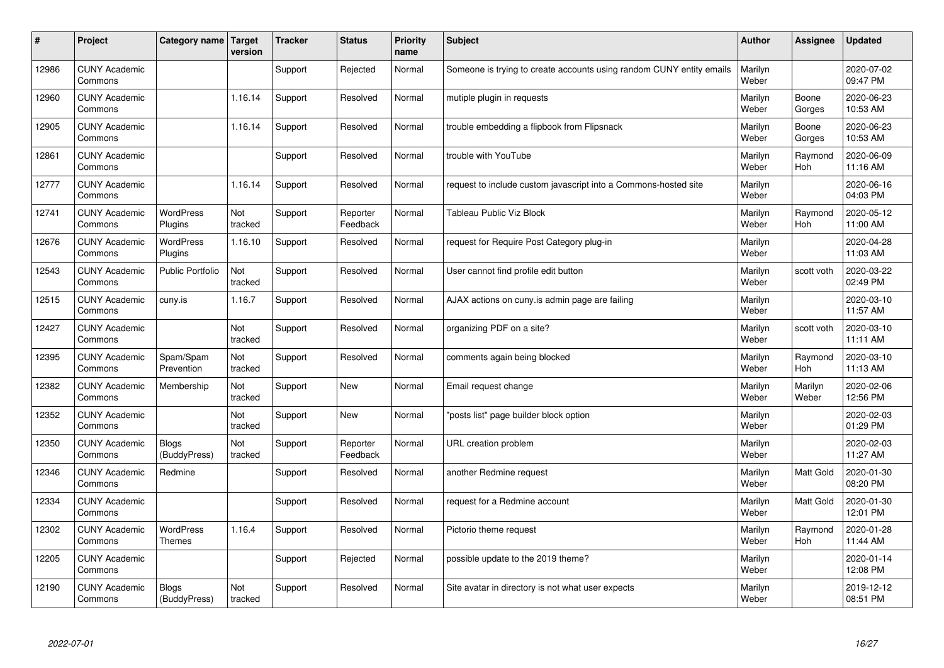| #     | Project                         | Category name   Target            | version        | <b>Tracker</b> | <b>Status</b>        | <b>Priority</b><br>name | <b>Subject</b>                                                       | <b>Author</b>    | Assignee         | <b>Updated</b>         |
|-------|---------------------------------|-----------------------------------|----------------|----------------|----------------------|-------------------------|----------------------------------------------------------------------|------------------|------------------|------------------------|
| 12986 | <b>CUNY Academic</b><br>Commons |                                   |                | Support        | Rejected             | Normal                  | Someone is trying to create accounts using random CUNY entity emails | Marilyn<br>Weber |                  | 2020-07-02<br>09:47 PM |
| 12960 | <b>CUNY Academic</b><br>Commons |                                   | 1.16.14        | Support        | Resolved             | Normal                  | mutiple plugin in requests                                           | Marilyn<br>Weber | Boone<br>Gorges  | 2020-06-23<br>10:53 AM |
| 12905 | <b>CUNY Academic</b><br>Commons |                                   | 1.16.14        | Support        | Resolved             | Normal                  | trouble embedding a flipbook from Flipsnack                          | Marilyn<br>Weber | Boone<br>Gorges  | 2020-06-23<br>10:53 AM |
| 12861 | <b>CUNY Academic</b><br>Commons |                                   |                | Support        | Resolved             | Normal                  | trouble with YouTube                                                 | Marilyn<br>Weber | Raymond<br>Hoh   | 2020-06-09<br>11:16 AM |
| 12777 | <b>CUNY Academic</b><br>Commons |                                   | 1.16.14        | Support        | Resolved             | Normal                  | request to include custom javascript into a Commons-hosted site      | Marilyn<br>Weber |                  | 2020-06-16<br>04:03 PM |
| 12741 | <b>CUNY Academic</b><br>Commons | <b>WordPress</b><br>Plugins       | Not<br>tracked | Support        | Reporter<br>Feedback | Normal                  | Tableau Public Viz Block                                             | Marilyn<br>Weber | Raymond<br>Hoh   | 2020-05-12<br>11:00 AM |
| 12676 | <b>CUNY Academic</b><br>Commons | <b>WordPress</b><br>Plugins       | 1.16.10        | Support        | Resolved             | Normal                  | request for Require Post Category plug-in                            | Marilyn<br>Weber |                  | 2020-04-28<br>11:03 AM |
| 12543 | <b>CUNY Academic</b><br>Commons | Public Portfolio                  | Not<br>tracked | Support        | Resolved             | Normal                  | User cannot find profile edit button                                 | Marilyn<br>Weber | scott voth       | 2020-03-22<br>02:49 PM |
| 12515 | <b>CUNY Academic</b><br>Commons | cuny.is                           | 1.16.7         | Support        | Resolved             | Normal                  | AJAX actions on cuny is admin page are failing                       | Marilyn<br>Weber |                  | 2020-03-10<br>11:57 AM |
| 12427 | <b>CUNY Academic</b><br>Commons |                                   | Not<br>tracked | Support        | Resolved             | Normal                  | organizing PDF on a site?                                            | Marilyn<br>Weber | scott voth       | 2020-03-10<br>11:11 AM |
| 12395 | <b>CUNY Academic</b><br>Commons | Spam/Spam<br>Prevention           | Not<br>tracked | Support        | Resolved             | Normal                  | comments again being blocked                                         | Marilyn<br>Weber | Raymond<br>Hoh   | 2020-03-10<br>11:13 AM |
| 12382 | <b>CUNY Academic</b><br>Commons | Membership                        | Not<br>tracked | Support        | <b>New</b>           | Normal                  | Email request change                                                 | Marilyn<br>Weber | Marilyn<br>Weber | 2020-02-06<br>12:56 PM |
| 12352 | <b>CUNY Academic</b><br>Commons |                                   | Not<br>tracked | Support        | <b>New</b>           | Normal                  | 'posts list" page builder block option                               | Marilyn<br>Weber |                  | 2020-02-03<br>01:29 PM |
| 12350 | <b>CUNY Academic</b><br>Commons | <b>Blogs</b><br>(BuddyPress)      | Not<br>tracked | Support        | Reporter<br>Feedback | Normal                  | URL creation problem                                                 | Marilyn<br>Weber |                  | 2020-02-03<br>11:27 AM |
| 12346 | <b>CUNY Academic</b><br>Commons | Redmine                           |                | Support        | Resolved             | Normal                  | another Redmine request                                              | Marilyn<br>Weber | Matt Gold        | 2020-01-30<br>08:20 PM |
| 12334 | <b>CUNY Academic</b><br>Commons |                                   |                | Support        | Resolved             | Normal                  | request for a Redmine account                                        | Marilyn<br>Weber | Matt Gold        | 2020-01-30<br>12:01 PM |
| 12302 | <b>CUNY Academic</b><br>Commons | <b>WordPress</b><br><b>Themes</b> | 1.16.4         | Support        | Resolved             | Normal                  | Pictorio theme request                                               | Marilyn<br>Weber | Raymond<br>Hoh   | 2020-01-28<br>11:44 AM |
| 12205 | <b>CUNY Academic</b><br>Commons |                                   |                | Support        | Rejected             | Normal                  | possible update to the 2019 theme?                                   | Marilyn<br>Weber |                  | 2020-01-14<br>12:08 PM |
| 12190 | <b>CUNY Academic</b><br>Commons | <b>Blogs</b><br>(BuddyPress)      | Not<br>tracked | Support        | Resolved             | Normal                  | Site avatar in directory is not what user expects                    | Marilyn<br>Weber |                  | 2019-12-12<br>08:51 PM |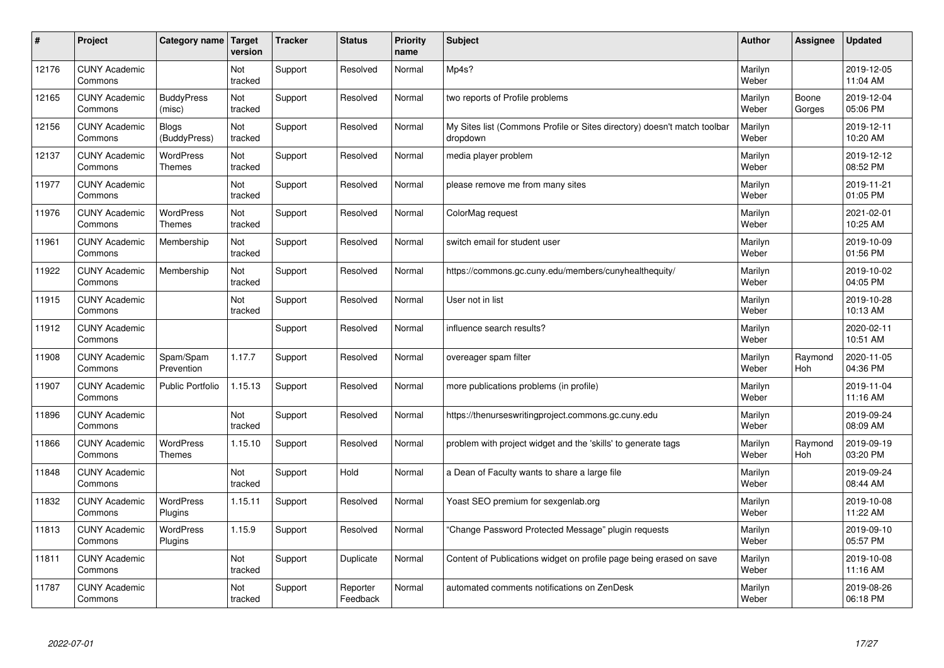| $\vert$ # | Project                         | Category name                     | Target<br>version | <b>Tracker</b> | <b>Status</b>        | <b>Priority</b><br>name | <b>Subject</b>                                                                       | <b>Author</b>    | Assignee        | <b>Updated</b>         |
|-----------|---------------------------------|-----------------------------------|-------------------|----------------|----------------------|-------------------------|--------------------------------------------------------------------------------------|------------------|-----------------|------------------------|
| 12176     | <b>CUNY Academic</b><br>Commons |                                   | Not<br>tracked    | Support        | Resolved             | Normal                  | Mp4s?                                                                                | Marilyn<br>Weber |                 | 2019-12-05<br>11:04 AM |
| 12165     | <b>CUNY Academic</b><br>Commons | <b>BuddyPress</b><br>(misc)       | Not<br>tracked    | Support        | Resolved             | Normal                  | two reports of Profile problems                                                      | Marilyn<br>Weber | Boone<br>Gorges | 2019-12-04<br>05:06 PM |
| 12156     | <b>CUNY Academic</b><br>Commons | <b>Blogs</b><br>(BuddyPress)      | Not<br>tracked    | Support        | Resolved             | Normal                  | My Sites list (Commons Profile or Sites directory) doesn't match toolbar<br>dropdown | Marilyn<br>Weber |                 | 2019-12-11<br>10:20 AM |
| 12137     | <b>CUNY Academic</b><br>Commons | WordPress<br><b>Themes</b>        | Not<br>tracked    | Support        | Resolved             | Normal                  | media player problem                                                                 | Marilyn<br>Weber |                 | 2019-12-12<br>08:52 PM |
| 11977     | <b>CUNY Academic</b><br>Commons |                                   | Not<br>tracked    | Support        | Resolved             | Normal                  | please remove me from many sites                                                     | Marilyn<br>Weber |                 | 2019-11-21<br>01:05 PM |
| 11976     | <b>CUNY Academic</b><br>Commons | <b>WordPress</b><br><b>Themes</b> | Not<br>tracked    | Support        | Resolved             | Normal                  | ColorMag request                                                                     | Marilyn<br>Weber |                 | 2021-02-01<br>10:25 AM |
| 11961     | <b>CUNY Academic</b><br>Commons | Membership                        | Not<br>tracked    | Support        | Resolved             | Normal                  | switch email for student user                                                        | Marilyn<br>Weber |                 | 2019-10-09<br>01:56 PM |
| 11922     | <b>CUNY Academic</b><br>Commons | Membership                        | Not<br>tracked    | Support        | Resolved             | Normal                  | https://commons.gc.cuny.edu/members/cunyhealthequity/                                | Marilyn<br>Weber |                 | 2019-10-02<br>04:05 PM |
| 11915     | <b>CUNY Academic</b><br>Commons |                                   | Not<br>tracked    | Support        | Resolved             | Normal                  | User not in list                                                                     | Marilyn<br>Weber |                 | 2019-10-28<br>10:13 AM |
| 11912     | <b>CUNY Academic</b><br>Commons |                                   |                   | Support        | Resolved             | Normal                  | influence search results?                                                            | Marilyn<br>Weber |                 | 2020-02-11<br>10:51 AM |
| 11908     | <b>CUNY Academic</b><br>Commons | Spam/Spam<br>Prevention           | 1.17.7            | Support        | Resolved             | Normal                  | overeager spam filter                                                                | Marilyn<br>Weber | Raymond<br>Hoh  | 2020-11-05<br>04:36 PM |
| 11907     | <b>CUNY Academic</b><br>Commons | <b>Public Portfolio</b>           | 1.15.13           | Support        | Resolved             | Normal                  | more publications problems (in profile)                                              | Marilyn<br>Weber |                 | 2019-11-04<br>11:16 AM |
| 11896     | <b>CUNY Academic</b><br>Commons |                                   | Not<br>tracked    | Support        | Resolved             | Normal                  | https://thenurseswritingproject.commons.gc.cuny.edu                                  | Marilyn<br>Weber |                 | 2019-09-24<br>08:09 AM |
| 11866     | <b>CUNY Academic</b><br>Commons | <b>WordPress</b><br><b>Themes</b> | 1.15.10           | Support        | Resolved             | Normal                  | problem with project widget and the 'skills' to generate tags                        | Marilyn<br>Weber | Raymond<br>Hoh  | 2019-09-19<br>03:20 PM |
| 11848     | <b>CUNY Academic</b><br>Commons |                                   | Not<br>tracked    | Support        | Hold                 | Normal                  | a Dean of Faculty wants to share a large file                                        | Marilyn<br>Weber |                 | 2019-09-24<br>08:44 AM |
| 11832     | <b>CUNY Academic</b><br>Commons | WordPress<br>Plugins              | 1.15.11           | Support        | Resolved             | Normal                  | Yoast SEO premium for sexgenlab.org                                                  | Marilyn<br>Weber |                 | 2019-10-08<br>11:22 AM |
| 11813     | <b>CUNY Academic</b><br>Commons | WordPress<br>Plugins              | 1.15.9            | Support        | Resolved             | Normal                  | 'Change Password Protected Message" plugin requests                                  | Marilyn<br>Weber |                 | 2019-09-10<br>05:57 PM |
| 11811     | <b>CUNY Academic</b><br>Commons |                                   | Not<br>tracked    | Support        | Duplicate            | Normal                  | Content of Publications widget on profile page being erased on save                  | Marilyn<br>Weber |                 | 2019-10-08<br>11:16 AM |
| 11787     | <b>CUNY Academic</b><br>Commons |                                   | Not<br>tracked    | Support        | Reporter<br>Feedback | Normal                  | automated comments notifications on ZenDesk                                          | Marilyn<br>Weber |                 | 2019-08-26<br>06:18 PM |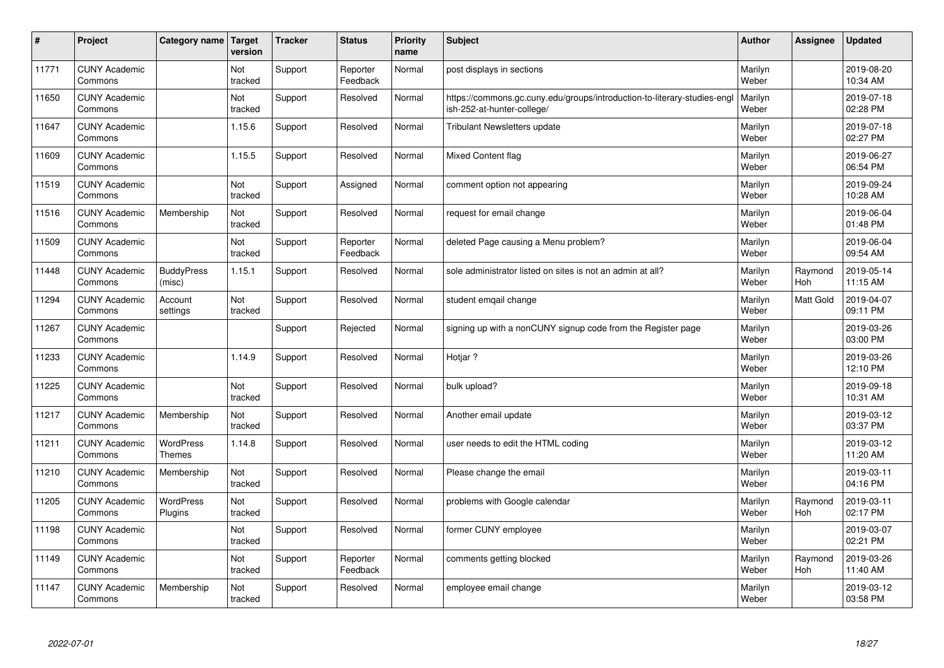| $\sharp$ | Project                         | Category name   Target      | version        | <b>Tracker</b> | <b>Status</b>        | <b>Priority</b><br>name | <b>Subject</b>                                                                                        | <b>Author</b>    | Assignee              | <b>Updated</b>         |
|----------|---------------------------------|-----------------------------|----------------|----------------|----------------------|-------------------------|-------------------------------------------------------------------------------------------------------|------------------|-----------------------|------------------------|
| 11771    | <b>CUNY Academic</b><br>Commons |                             | Not<br>tracked | Support        | Reporter<br>Feedback | Normal                  | post displays in sections                                                                             | Marilyn<br>Weber |                       | 2019-08-20<br>10:34 AM |
| 11650    | <b>CUNY Academic</b><br>Commons |                             | Not<br>tracked | Support        | Resolved             | Normal                  | https://commons.gc.cuny.edu/groups/introduction-to-literary-studies-eng<br>ish-252-at-hunter-college/ | Marilyn<br>Weber |                       | 2019-07-18<br>02:28 PM |
| 11647    | <b>CUNY Academic</b><br>Commons |                             | 1.15.6         | Support        | Resolved             | Normal                  | <b>Tribulant Newsletters update</b>                                                                   | Marilyn<br>Weber |                       | 2019-07-18<br>02:27 PM |
| 11609    | <b>CUNY Academic</b><br>Commons |                             | 1.15.5         | Support        | Resolved             | Normal                  | <b>Mixed Content flag</b>                                                                             | Marilyn<br>Weber |                       | 2019-06-27<br>06:54 PM |
| 11519    | <b>CUNY Academic</b><br>Commons |                             | Not<br>tracked | Support        | Assigned             | Normal                  | comment option not appearing                                                                          | Marilyn<br>Weber |                       | 2019-09-24<br>10:28 AM |
| 11516    | <b>CUNY Academic</b><br>Commons | Membership                  | Not<br>tracked | Support        | Resolved             | Normal                  | request for email change                                                                              | Marilyn<br>Weber |                       | 2019-06-04<br>01:48 PM |
| 11509    | <b>CUNY Academic</b><br>Commons |                             | Not<br>tracked | Support        | Reporter<br>Feedback | Normal                  | deleted Page causing a Menu problem?                                                                  | Marilyn<br>Weber |                       | 2019-06-04<br>09:54 AM |
| 11448    | <b>CUNY Academic</b><br>Commons | <b>BuddyPress</b><br>(misc) | 1.15.1         | Support        | Resolved             | Normal                  | sole administrator listed on sites is not an admin at all?                                            | Marilyn<br>Weber | Raymond<br><b>Hoh</b> | 2019-05-14<br>11:15 AM |
| 11294    | <b>CUNY Academic</b><br>Commons | Account<br>settings         | Not<br>tracked | Support        | Resolved             | Normal                  | student emqail change                                                                                 | Marilyn<br>Weber | <b>Matt Gold</b>      | 2019-04-07<br>09:11 PM |
| 11267    | <b>CUNY Academic</b><br>Commons |                             |                | Support        | Rejected             | Normal                  | signing up with a nonCUNY signup code from the Register page                                          | Marilyn<br>Weber |                       | 2019-03-26<br>03:00 PM |
| 11233    | <b>CUNY Academic</b><br>Commons |                             | 1.14.9         | Support        | Resolved             | Normal                  | Hotjar?                                                                                               | Marilyn<br>Weber |                       | 2019-03-26<br>12:10 PM |
| 11225    | <b>CUNY Academic</b><br>Commons |                             | Not<br>tracked | Support        | Resolved             | Normal                  | bulk upload?                                                                                          | Marilyn<br>Weber |                       | 2019-09-18<br>10:31 AM |
| 11217    | <b>CUNY Academic</b><br>Commons | Membership                  | Not<br>tracked | Support        | Resolved             | Normal                  | Another email update                                                                                  | Marilyn<br>Weber |                       | 2019-03-12<br>03:37 PM |
| 11211    | <b>CUNY Academic</b><br>Commons | WordPress<br><b>Themes</b>  | 1.14.8         | Support        | Resolved             | Normal                  | user needs to edit the HTML coding                                                                    | Marilyn<br>Weber |                       | 2019-03-12<br>11:20 AM |
| 11210    | <b>CUNY Academic</b><br>Commons | Membership                  | Not<br>tracked | Support        | Resolved             | Normal                  | Please change the email                                                                               | Marilyn<br>Weber |                       | 2019-03-11<br>04:16 PM |
| 11205    | <b>CUNY Academic</b><br>Commons | <b>WordPress</b><br>Plugins | Not<br>tracked | Support        | Resolved             | Normal                  | problems with Google calendar                                                                         | Marilyn<br>Weber | Raymond<br>Hoh        | 2019-03-11<br>02:17 PM |
| 11198    | <b>CUNY Academic</b><br>Commons |                             | Not<br>tracked | Support        | Resolved             | Normal                  | former CUNY employee                                                                                  | Marilyn<br>Weber |                       | 2019-03-07<br>02:21 PM |
| 11149    | <b>CUNY Academic</b><br>Commons |                             | Not<br>tracked | Support        | Reporter<br>Feedback | Normal                  | comments getting blocked                                                                              | Marilyn<br>Weber | Raymond<br>Hoh        | 2019-03-26<br>11:40 AM |
| 11147    | <b>CUNY Academic</b><br>Commons | Membership                  | Not<br>tracked | Support        | Resolved             | Normal                  | employee email change                                                                                 | Marilyn<br>Weber |                       | 2019-03-12<br>03:58 PM |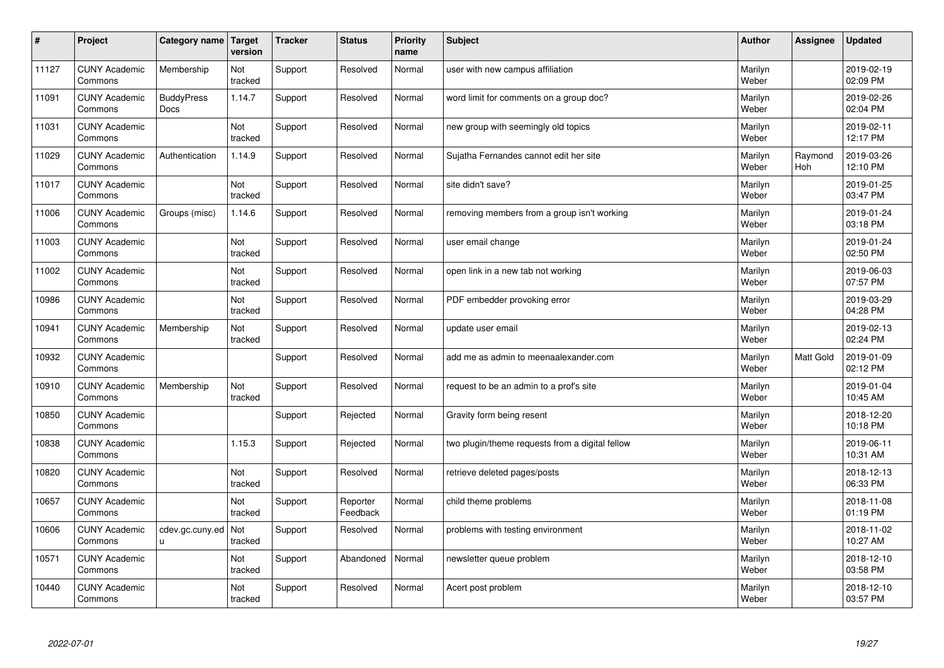| $\pmb{\#}$ | Project                         | Category name             | Target<br>version | <b>Tracker</b> | <b>Status</b>        | <b>Priority</b><br>name | <b>Subject</b>                                  | <b>Author</b>    | Assignee       | <b>Updated</b>         |
|------------|---------------------------------|---------------------------|-------------------|----------------|----------------------|-------------------------|-------------------------------------------------|------------------|----------------|------------------------|
| 11127      | <b>CUNY Academic</b><br>Commons | Membership                | Not<br>tracked    | Support        | Resolved             | Normal                  | user with new campus affiliation                | Marilyn<br>Weber |                | 2019-02-19<br>02:09 PM |
| 11091      | <b>CUNY Academic</b><br>Commons | <b>BuddyPress</b><br>Docs | 1.14.7            | Support        | Resolved             | Normal                  | word limit for comments on a group doc?         | Marilyn<br>Weber |                | 2019-02-26<br>02:04 PM |
| 11031      | <b>CUNY Academic</b><br>Commons |                           | Not<br>tracked    | Support        | Resolved             | Normal                  | new group with seemingly old topics             | Marilyn<br>Weber |                | 2019-02-11<br>12:17 PM |
| 11029      | <b>CUNY Academic</b><br>Commons | Authentication            | 1.14.9            | Support        | Resolved             | Normal                  | Sujatha Fernandes cannot edit her site          | Marilyn<br>Weber | Raymond<br>Hoh | 2019-03-26<br>12:10 PM |
| 11017      | <b>CUNY Academic</b><br>Commons |                           | Not<br>tracked    | Support        | Resolved             | Normal                  | site didn't save?                               | Marilyn<br>Weber |                | 2019-01-25<br>03:47 PM |
| 11006      | <b>CUNY Academic</b><br>Commons | Groups (misc)             | 1.14.6            | Support        | Resolved             | Normal                  | removing members from a group isn't working     | Marilyn<br>Weber |                | 2019-01-24<br>03:18 PM |
| 11003      | <b>CUNY Academic</b><br>Commons |                           | Not<br>tracked    | Support        | Resolved             | Normal                  | user email change                               | Marilyn<br>Weber |                | 2019-01-24<br>02:50 PM |
| 11002      | <b>CUNY Academic</b><br>Commons |                           | Not<br>tracked    | Support        | Resolved             | Normal                  | open link in a new tab not working              | Marilyn<br>Weber |                | 2019-06-03<br>07:57 PM |
| 10986      | <b>CUNY Academic</b><br>Commons |                           | Not<br>tracked    | Support        | Resolved             | Normal                  | PDF embedder provoking error                    | Marilyn<br>Weber |                | 2019-03-29<br>04:28 PM |
| 10941      | <b>CUNY Academic</b><br>Commons | Membership                | Not<br>tracked    | Support        | Resolved             | Normal                  | update user email                               | Marilyn<br>Weber |                | 2019-02-13<br>02:24 PM |
| 10932      | <b>CUNY Academic</b><br>Commons |                           |                   | Support        | Resolved             | Normal                  | add me as admin to meenaalexander.com           | Marilyn<br>Weber | Matt Gold      | 2019-01-09<br>02:12 PM |
| 10910      | <b>CUNY Academic</b><br>Commons | Membership                | Not<br>tracked    | Support        | Resolved             | Normal                  | request to be an admin to a prof's site         | Marilyn<br>Weber |                | 2019-01-04<br>10:45 AM |
| 10850      | <b>CUNY Academic</b><br>Commons |                           |                   | Support        | Rejected             | Normal                  | Gravity form being resent                       | Marilyn<br>Weber |                | 2018-12-20<br>10:18 PM |
| 10838      | <b>CUNY Academic</b><br>Commons |                           | 1.15.3            | Support        | Rejected             | Normal                  | two plugin/theme requests from a digital fellow | Marilyn<br>Weber |                | 2019-06-11<br>10:31 AM |
| 10820      | <b>CUNY Academic</b><br>Commons |                           | Not<br>tracked    | Support        | Resolved             | Normal                  | retrieve deleted pages/posts                    | Marilyn<br>Weber |                | 2018-12-13<br>06:33 PM |
| 10657      | <b>CUNY Academic</b><br>Commons |                           | Not<br>tracked    | Support        | Reporter<br>Feedback | Normal                  | child theme problems                            | Marilyn<br>Weber |                | 2018-11-08<br>01:19 PM |
| 10606      | <b>CUNY Academic</b><br>Commons | cdev.gc.cuny.ed<br>u      | Not<br>tracked    | Support        | Resolved             | Normal                  | problems with testing environment               | Marilyn<br>Weber |                | 2018-11-02<br>10:27 AM |
| 10571      | <b>CUNY Academic</b><br>Commons |                           | Not<br>tracked    | Support        | Abandoned            | Normal                  | newsletter queue problem                        | Marilyn<br>Weber |                | 2018-12-10<br>03:58 PM |
| 10440      | <b>CUNY Academic</b><br>Commons |                           | Not<br>tracked    | Support        | Resolved             | Normal                  | Acert post problem                              | Marilyn<br>Weber |                | 2018-12-10<br>03:57 PM |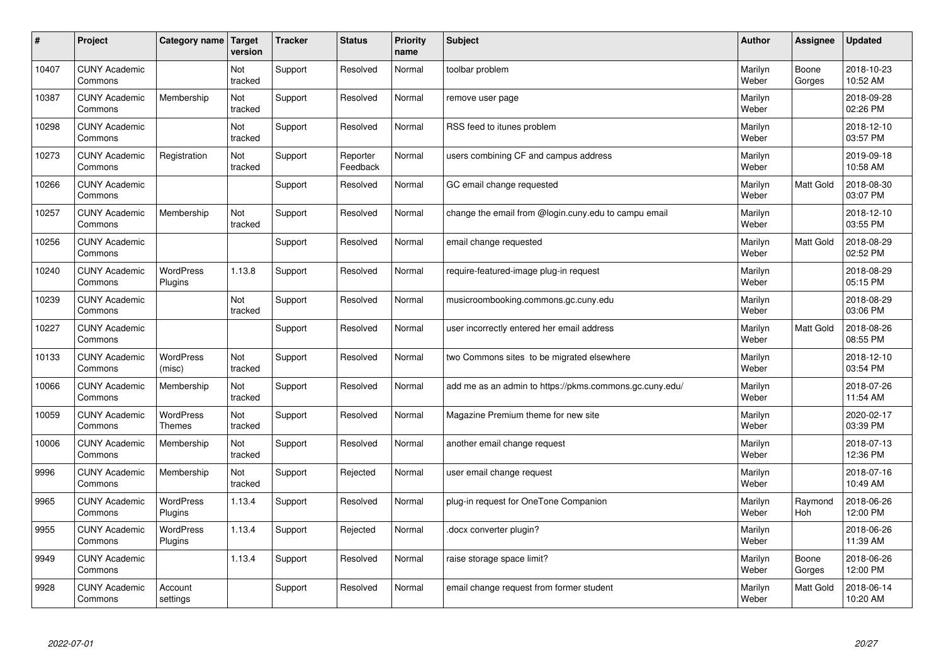| $\vert$ # | Project                         | Category name               | <b>Target</b><br>version | <b>Tracker</b> | <b>Status</b>        | <b>Priority</b><br>name | <b>Subject</b>                                          | <b>Author</b>    | Assignee        | <b>Updated</b>         |
|-----------|---------------------------------|-----------------------------|--------------------------|----------------|----------------------|-------------------------|---------------------------------------------------------|------------------|-----------------|------------------------|
| 10407     | <b>CUNY Academic</b><br>Commons |                             | Not<br>tracked           | Support        | Resolved             | Normal                  | toolbar problem                                         | Marilyn<br>Weber | Boone<br>Gorges | 2018-10-23<br>10:52 AM |
| 10387     | <b>CUNY Academic</b><br>Commons | Membership                  | Not<br>tracked           | Support        | Resolved             | Normal                  | remove user page                                        | Marilyn<br>Weber |                 | 2018-09-28<br>02:26 PM |
| 10298     | <b>CUNY Academic</b><br>Commons |                             | Not<br>tracked           | Support        | Resolved             | Normal                  | RSS feed to itunes problem                              | Marilyn<br>Weber |                 | 2018-12-10<br>03:57 PM |
| 10273     | <b>CUNY Academic</b><br>Commons | Registration                | Not<br>tracked           | Support        | Reporter<br>Feedback | Normal                  | users combining CF and campus address                   | Marilyn<br>Weber |                 | 2019-09-18<br>10:58 AM |
| 10266     | <b>CUNY Academic</b><br>Commons |                             |                          | Support        | Resolved             | Normal                  | GC email change requested                               | Marilyn<br>Weber | Matt Gold       | 2018-08-30<br>03:07 PM |
| 10257     | <b>CUNY Academic</b><br>Commons | Membership                  | Not<br>tracked           | Support        | Resolved             | Normal                  | change the email from @login.cuny.edu to campu email    | Marilyn<br>Weber |                 | 2018-12-10<br>03:55 PM |
| 10256     | <b>CUNY Academic</b><br>Commons |                             |                          | Support        | Resolved             | Normal                  | email change requested                                  | Marilyn<br>Weber | Matt Gold       | 2018-08-29<br>02:52 PM |
| 10240     | <b>CUNY Academic</b><br>Commons | <b>WordPress</b><br>Plugins | 1.13.8                   | Support        | Resolved             | Normal                  | require-featured-image plug-in request                  | Marilyn<br>Weber |                 | 2018-08-29<br>05:15 PM |
| 10239     | <b>CUNY Academic</b><br>Commons |                             | Not<br>tracked           | Support        | Resolved             | Normal                  | musicroombooking.commons.gc.cuny.edu                    | Marilyn<br>Weber |                 | 2018-08-29<br>03:06 PM |
| 10227     | <b>CUNY Academic</b><br>Commons |                             |                          | Support        | Resolved             | Normal                  | user incorrectly entered her email address              | Marilyn<br>Weber | Matt Gold       | 2018-08-26<br>08:55 PM |
| 10133     | <b>CUNY Academic</b><br>Commons | WordPress<br>(misc)         | Not<br>tracked           | Support        | Resolved             | Normal                  | two Commons sites to be migrated elsewhere              | Marilyn<br>Weber |                 | 2018-12-10<br>03:54 PM |
| 10066     | <b>CUNY Academic</b><br>Commons | Membership                  | Not<br>tracked           | Support        | Resolved             | Normal                  | add me as an admin to https://pkms.commons.gc.cuny.edu/ | Marilyn<br>Weber |                 | 2018-07-26<br>11:54 AM |
| 10059     | <b>CUNY Academic</b><br>Commons | WordPress<br><b>Themes</b>  | Not<br>tracked           | Support        | Resolved             | Normal                  | Magazine Premium theme for new site                     | Marilyn<br>Weber |                 | 2020-02-17<br>03:39 PM |
| 10006     | <b>CUNY Academic</b><br>Commons | Membership                  | Not<br>tracked           | Support        | Resolved             | Normal                  | another email change request                            | Marilyn<br>Weber |                 | 2018-07-13<br>12:36 PM |
| 9996      | <b>CUNY Academic</b><br>Commons | Membership                  | Not<br>tracked           | Support        | Rejected             | Normal                  | user email change request                               | Marilyn<br>Weber |                 | 2018-07-16<br>10:49 AM |
| 9965      | <b>CUNY Academic</b><br>Commons | WordPress<br>Plugins        | 1.13.4                   | Support        | Resolved             | Normal                  | plug-in request for OneTone Companion                   | Marilyn<br>Weber | Raymond<br>Hoh  | 2018-06-26<br>12:00 PM |
| 9955      | <b>CUNY Academic</b><br>Commons | WordPress<br>Plugins        | 1.13.4                   | Support        | Rejected             | Normal                  | docx converter plugin?                                  | Marilyn<br>Weber |                 | 2018-06-26<br>11:39 AM |
| 9949      | <b>CUNY Academic</b><br>Commons |                             | 1.13.4                   | Support        | Resolved             | Normal                  | raise storage space limit?                              | Marilyn<br>Weber | Boone<br>Gorges | 2018-06-26<br>12:00 PM |
| 9928      | <b>CUNY Academic</b><br>Commons | Account<br>settings         |                          | Support        | Resolved             | Normal                  | email change request from former student                | Marilyn<br>Weber | Matt Gold       | 2018-06-14<br>10:20 AM |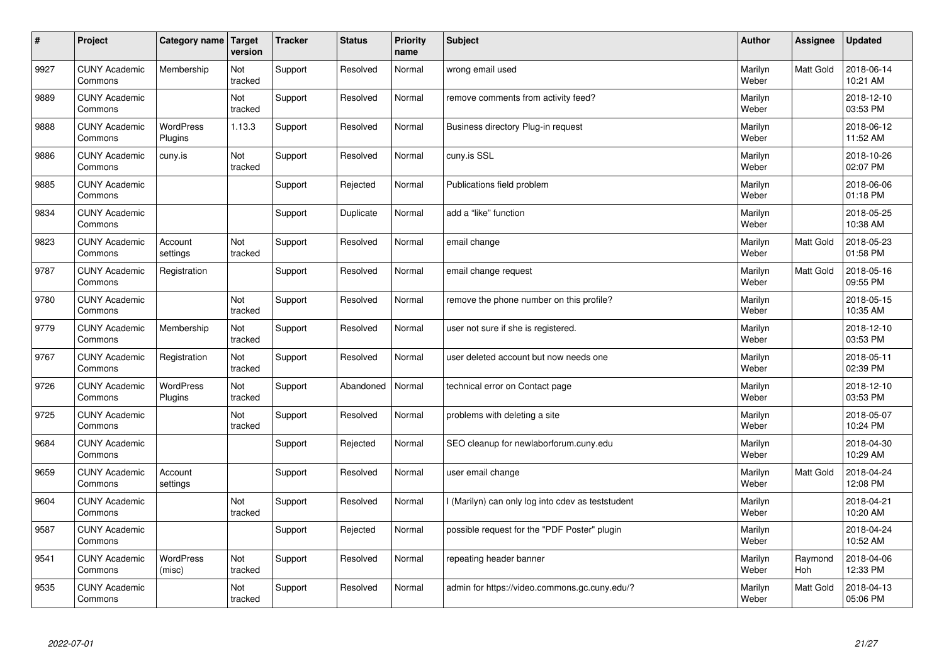| $\vert$ # | Project                         | Category name   Target      | version        | <b>Tracker</b> | <b>Status</b> | <b>Priority</b><br>name | <b>Subject</b>                                    | <b>Author</b>    | Assignee       | <b>Updated</b>         |
|-----------|---------------------------------|-----------------------------|----------------|----------------|---------------|-------------------------|---------------------------------------------------|------------------|----------------|------------------------|
| 9927      | <b>CUNY Academic</b><br>Commons | Membership                  | Not<br>tracked | Support        | Resolved      | Normal                  | wrong email used                                  | Marilyn<br>Weber | Matt Gold      | 2018-06-14<br>10:21 AM |
| 9889      | <b>CUNY Academic</b><br>Commons |                             | Not<br>tracked | Support        | Resolved      | Normal                  | remove comments from activity feed?               | Marilyn<br>Weber |                | 2018-12-10<br>03:53 PM |
| 9888      | <b>CUNY Academic</b><br>Commons | <b>WordPress</b><br>Plugins | 1.13.3         | Support        | Resolved      | Normal                  | Business directory Plug-in request                | Marilyn<br>Weber |                | 2018-06-12<br>11:52 AM |
| 9886      | <b>CUNY Academic</b><br>Commons | cuny.is                     | Not<br>tracked | Support        | Resolved      | Normal                  | cuny.is SSL                                       | Marilyn<br>Weber |                | 2018-10-26<br>02:07 PM |
| 9885      | <b>CUNY Academic</b><br>Commons |                             |                | Support        | Rejected      | Normal                  | Publications field problem                        | Marilyn<br>Weber |                | 2018-06-06<br>01:18 PM |
| 9834      | <b>CUNY Academic</b><br>Commons |                             |                | Support        | Duplicate     | Normal                  | add a "like" function                             | Marilyn<br>Weber |                | 2018-05-25<br>10:38 AM |
| 9823      | <b>CUNY Academic</b><br>Commons | Account<br>settings         | Not<br>tracked | Support        | Resolved      | Normal                  | email change                                      | Marilyn<br>Weber | Matt Gold      | 2018-05-23<br>01:58 PM |
| 9787      | <b>CUNY Academic</b><br>Commons | Registration                |                | Support        | Resolved      | Normal                  | email change request                              | Marilyn<br>Weber | Matt Gold      | 2018-05-16<br>09:55 PM |
| 9780      | <b>CUNY Academic</b><br>Commons |                             | Not<br>tracked | Support        | Resolved      | Normal                  | remove the phone number on this profile?          | Marilyn<br>Weber |                | 2018-05-15<br>10:35 AM |
| 9779      | <b>CUNY Academic</b><br>Commons | Membership                  | Not<br>tracked | Support        | Resolved      | Normal                  | user not sure if she is registered.               | Marilyn<br>Weber |                | 2018-12-10<br>03:53 PM |
| 9767      | <b>CUNY Academic</b><br>Commons | Registration                | Not<br>tracked | Support        | Resolved      | Normal                  | user deleted account but now needs one            | Marilyn<br>Weber |                | 2018-05-11<br>02:39 PM |
| 9726      | <b>CUNY Academic</b><br>Commons | WordPress<br>Plugins        | Not<br>tracked | Support        | Abandoned     | Normal                  | technical error on Contact page                   | Marilyn<br>Weber |                | 2018-12-10<br>03:53 PM |
| 9725      | <b>CUNY Academic</b><br>Commons |                             | Not<br>tracked | Support        | Resolved      | Normal                  | problems with deleting a site                     | Marilyn<br>Weber |                | 2018-05-07<br>10:24 PM |
| 9684      | <b>CUNY Academic</b><br>Commons |                             |                | Support        | Rejected      | Normal                  | SEO cleanup for newlaborforum.cuny.edu            | Marilyn<br>Weber |                | 2018-04-30<br>10:29 AM |
| 9659      | <b>CUNY Academic</b><br>Commons | Account<br>settings         |                | Support        | Resolved      | Normal                  | user email change                                 | Marilyn<br>Weber | Matt Gold      | 2018-04-24<br>12:08 PM |
| 9604      | <b>CUNY Academic</b><br>Commons |                             | Not<br>tracked | Support        | Resolved      | Normal                  | I (Marilyn) can only log into cdev as teststudent | Marilyn<br>Weber |                | 2018-04-21<br>10:20 AM |
| 9587      | <b>CUNY Academic</b><br>Commons |                             |                | Support        | Rejected      | Normal                  | possible request for the "PDF Poster" plugin      | Marilyn<br>Weber |                | 2018-04-24<br>10:52 AM |
| 9541      | <b>CUNY Academic</b><br>Commons | <b>WordPress</b><br>(misc)  | Not<br>tracked | Support        | Resolved      | Normal                  | repeating header banner                           | Marilyn<br>Weber | Raymond<br>Hoh | 2018-04-06<br>12:33 PM |
| 9535      | <b>CUNY Academic</b><br>Commons |                             | Not<br>tracked | Support        | Resolved      | Normal                  | admin for https://video.commons.gc.cuny.edu/?     | Marilyn<br>Weber | Matt Gold      | 2018-04-13<br>05:06 PM |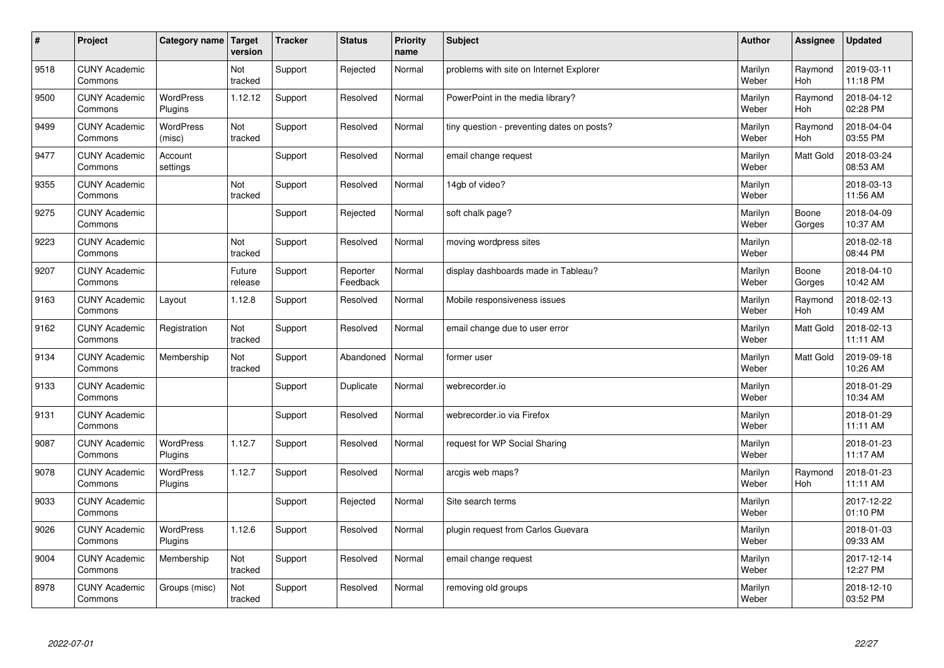| $\vert$ # | Project                         | Category name               | <b>Target</b><br>version | <b>Tracker</b> | <b>Status</b>        | <b>Priority</b><br>name | <b>Subject</b>                             | <b>Author</b>    | <b>Assignee</b> | <b>Updated</b>         |
|-----------|---------------------------------|-----------------------------|--------------------------|----------------|----------------------|-------------------------|--------------------------------------------|------------------|-----------------|------------------------|
| 9518      | <b>CUNY Academic</b><br>Commons |                             | Not<br>tracked           | Support        | Rejected             | Normal                  | problems with site on Internet Explorer    | Marilyn<br>Weber | Raymond<br>Hoh  | 2019-03-11<br>11:18 PM |
| 9500      | <b>CUNY Academic</b><br>Commons | <b>WordPress</b><br>Plugins | 1.12.12                  | Support        | Resolved             | Normal                  | PowerPoint in the media library?           | Marilyn<br>Weber | Raymond<br>Hoh  | 2018-04-12<br>02:28 PM |
| 9499      | <b>CUNY Academic</b><br>Commons | WordPress<br>(misc)         | Not<br>tracked           | Support        | Resolved             | Normal                  | tiny question - preventing dates on posts? | Marilyn<br>Weber | Raymond<br>Hoh  | 2018-04-04<br>03:55 PM |
| 9477      | <b>CUNY Academic</b><br>Commons | Account<br>settings         |                          | Support        | Resolved             | Normal                  | email change request                       | Marilyn<br>Weber | Matt Gold       | 2018-03-24<br>08:53 AM |
| 9355      | <b>CUNY Academic</b><br>Commons |                             | Not<br>tracked           | Support        | Resolved             | Normal                  | 14gb of video?                             | Marilyn<br>Weber |                 | 2018-03-13<br>11:56 AM |
| 9275      | <b>CUNY Academic</b><br>Commons |                             |                          | Support        | Rejected             | Normal                  | soft chalk page?                           | Marilyn<br>Weber | Boone<br>Gorges | 2018-04-09<br>10:37 AM |
| 9223      | <b>CUNY Academic</b><br>Commons |                             | Not<br>tracked           | Support        | Resolved             | Normal                  | moving wordpress sites                     | Marilyn<br>Weber |                 | 2018-02-18<br>08:44 PM |
| 9207      | <b>CUNY Academic</b><br>Commons |                             | Future<br>release        | Support        | Reporter<br>Feedback | Normal                  | display dashboards made in Tableau?        | Marilyn<br>Weber | Boone<br>Gorges | 2018-04-10<br>10:42 AM |
| 9163      | <b>CUNY Academic</b><br>Commons | Layout                      | 1.12.8                   | Support        | Resolved             | Normal                  | Mobile responsiveness issues               | Marilyn<br>Weber | Raymond<br>Hoh  | 2018-02-13<br>10:49 AM |
| 9162      | <b>CUNY Academic</b><br>Commons | Registration                | Not<br>tracked           | Support        | Resolved             | Normal                  | email change due to user error             | Marilyn<br>Weber | Matt Gold       | 2018-02-13<br>11:11 AM |
| 9134      | <b>CUNY Academic</b><br>Commons | Membership                  | Not<br>tracked           | Support        | Abandoned            | Normal                  | former user                                | Marilyn<br>Weber | Matt Gold       | 2019-09-18<br>10:26 AM |
| 9133      | <b>CUNY Academic</b><br>Commons |                             |                          | Support        | Duplicate            | Normal                  | webrecorder.io                             | Marilyn<br>Weber |                 | 2018-01-29<br>10:34 AM |
| 9131      | <b>CUNY Academic</b><br>Commons |                             |                          | Support        | Resolved             | Normal                  | webrecorder.io via Firefox                 | Marilyn<br>Weber |                 | 2018-01-29<br>11:11 AM |
| 9087      | <b>CUNY Academic</b><br>Commons | WordPress<br>Plugins        | 1.12.7                   | Support        | Resolved             | Normal                  | request for WP Social Sharing              | Marilyn<br>Weber |                 | 2018-01-23<br>11:17 AM |
| 9078      | <b>CUNY Academic</b><br>Commons | <b>WordPress</b><br>Plugins | 1.12.7                   | Support        | Resolved             | Normal                  | arcgis web maps?                           | Marilyn<br>Weber | Raymond<br>Hoh  | 2018-01-23<br>11:11 AM |
| 9033      | <b>CUNY Academic</b><br>Commons |                             |                          | Support        | Rejected             | Normal                  | Site search terms                          | Marilyn<br>Weber |                 | 2017-12-22<br>01:10 PM |
| 9026      | <b>CUNY Academic</b><br>Commons | WordPress<br>Plugins        | 1.12.6                   | Support        | Resolved             | Normal                  | plugin request from Carlos Guevara         | Marilyn<br>Weber |                 | 2018-01-03<br>09:33 AM |
| 9004      | <b>CUNY Academic</b><br>Commons | Membership                  | Not<br>tracked           | Support        | Resolved             | Normal                  | email change request                       | Marilyn<br>Weber |                 | 2017-12-14<br>12:27 PM |
| 8978      | <b>CUNY Academic</b><br>Commons | Groups (misc)               | Not<br>tracked           | Support        | Resolved             | Normal                  | removing old groups                        | Marilyn<br>Weber |                 | 2018-12-10<br>03:52 PM |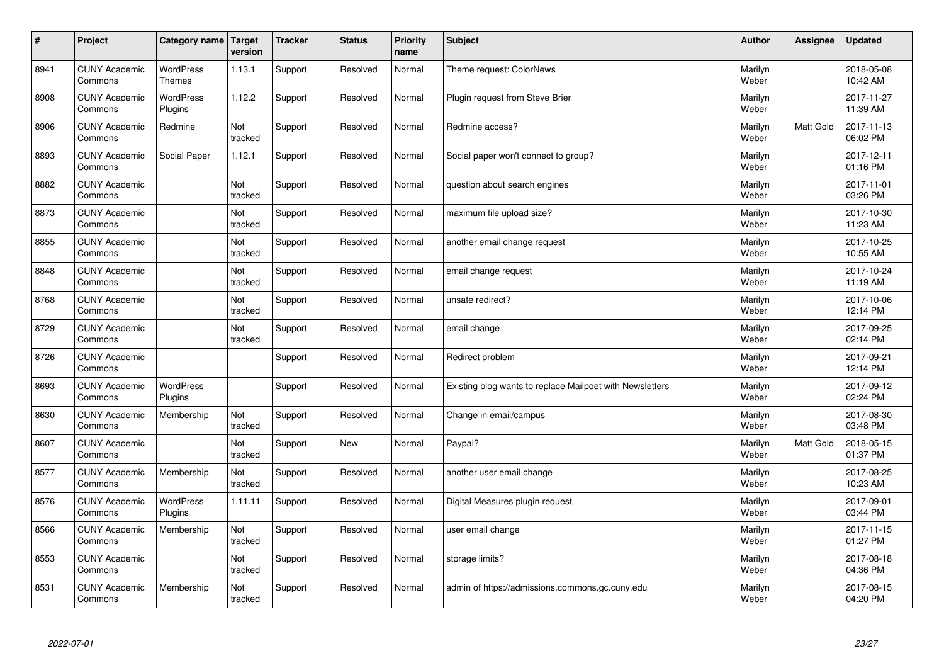| $\sharp$ | Project                         | Category name   Target            | version        | <b>Tracker</b> | <b>Status</b> | <b>Priority</b><br>name | <b>Subject</b>                                           | <b>Author</b>    | Assignee         | <b>Updated</b>         |
|----------|---------------------------------|-----------------------------------|----------------|----------------|---------------|-------------------------|----------------------------------------------------------|------------------|------------------|------------------------|
| 8941     | <b>CUNY Academic</b><br>Commons | <b>WordPress</b><br><b>Themes</b> | 1.13.1         | Support        | Resolved      | Normal                  | Theme request: ColorNews                                 | Marilyn<br>Weber |                  | 2018-05-08<br>10:42 AM |
| 8908     | <b>CUNY Academic</b><br>Commons | <b>WordPress</b><br>Plugins       | 1.12.2         | Support        | Resolved      | Normal                  | Plugin request from Steve Brier                          | Marilyn<br>Weber |                  | 2017-11-27<br>11:39 AM |
| 8906     | <b>CUNY Academic</b><br>Commons | Redmine                           | Not<br>tracked | Support        | Resolved      | Normal                  | Redmine access?                                          | Marilyn<br>Weber | Matt Gold        | 2017-11-13<br>06:02 PM |
| 8893     | <b>CUNY Academic</b><br>Commons | Social Paper                      | 1.12.1         | Support        | Resolved      | Normal                  | Social paper won't connect to group?                     | Marilyn<br>Weber |                  | 2017-12-11<br>01:16 PM |
| 8882     | <b>CUNY Academic</b><br>Commons |                                   | Not<br>tracked | Support        | Resolved      | Normal                  | question about search engines                            | Marilyn<br>Weber |                  | 2017-11-01<br>03:26 PM |
| 8873     | <b>CUNY Academic</b><br>Commons |                                   | Not<br>tracked | Support        | Resolved      | Normal                  | maximum file upload size?                                | Marilyn<br>Weber |                  | 2017-10-30<br>11:23 AM |
| 8855     | <b>CUNY Academic</b><br>Commons |                                   | Not<br>tracked | Support        | Resolved      | Normal                  | another email change request                             | Marilyn<br>Weber |                  | 2017-10-25<br>10:55 AM |
| 8848     | <b>CUNY Academic</b><br>Commons |                                   | Not<br>tracked | Support        | Resolved      | Normal                  | email change request                                     | Marilyn<br>Weber |                  | 2017-10-24<br>11:19 AM |
| 8768     | <b>CUNY Academic</b><br>Commons |                                   | Not<br>tracked | Support        | Resolved      | Normal                  | unsafe redirect?                                         | Marilyn<br>Weber |                  | 2017-10-06<br>12:14 PM |
| 8729     | <b>CUNY Academic</b><br>Commons |                                   | Not<br>tracked | Support        | Resolved      | Normal                  | email change                                             | Marilyn<br>Weber |                  | 2017-09-25<br>02:14 PM |
| 8726     | <b>CUNY Academic</b><br>Commons |                                   |                | Support        | Resolved      | Normal                  | Redirect problem                                         | Marilyn<br>Weber |                  | 2017-09-21<br>12:14 PM |
| 8693     | <b>CUNY Academic</b><br>Commons | <b>WordPress</b><br>Plugins       |                | Support        | Resolved      | Normal                  | Existing blog wants to replace Mailpoet with Newsletters | Marilyn<br>Weber |                  | 2017-09-12<br>02:24 PM |
| 8630     | <b>CUNY Academic</b><br>Commons | Membership                        | Not<br>tracked | Support        | Resolved      | Normal                  | Change in email/campus                                   | Marilyn<br>Weber |                  | 2017-08-30<br>03:48 PM |
| 8607     | <b>CUNY Academic</b><br>Commons |                                   | Not<br>tracked | Support        | New           | Normal                  | Paypal?                                                  | Marilyn<br>Weber | <b>Matt Gold</b> | 2018-05-15<br>01:37 PM |
| 8577     | <b>CUNY Academic</b><br>Commons | Membership                        | Not<br>tracked | Support        | Resolved      | Normal                  | another user email change                                | Marilyn<br>Weber |                  | 2017-08-25<br>10:23 AM |
| 8576     | <b>CUNY Academic</b><br>Commons | WordPress<br>Plugins              | 1.11.11        | Support        | Resolved      | Normal                  | Digital Measures plugin request                          | Marilyn<br>Weber |                  | 2017-09-01<br>03:44 PM |
| 8566     | <b>CUNY Academic</b><br>Commons | Membership                        | Not<br>tracked | Support        | Resolved      | Normal                  | user email change                                        | Marilyn<br>Weber |                  | 2017-11-15<br>01:27 PM |
| 8553     | <b>CUNY Academic</b><br>Commons |                                   | Not<br>tracked | Support        | Resolved      | Normal                  | storage limits?                                          | Marilyn<br>Weber |                  | 2017-08-18<br>04:36 PM |
| 8531     | <b>CUNY Academic</b><br>Commons | Membership                        | Not<br>tracked | Support        | Resolved      | Normal                  | admin of https://admissions.commons.gc.cuny.edu          | Marilyn<br>Weber |                  | 2017-08-15<br>04:20 PM |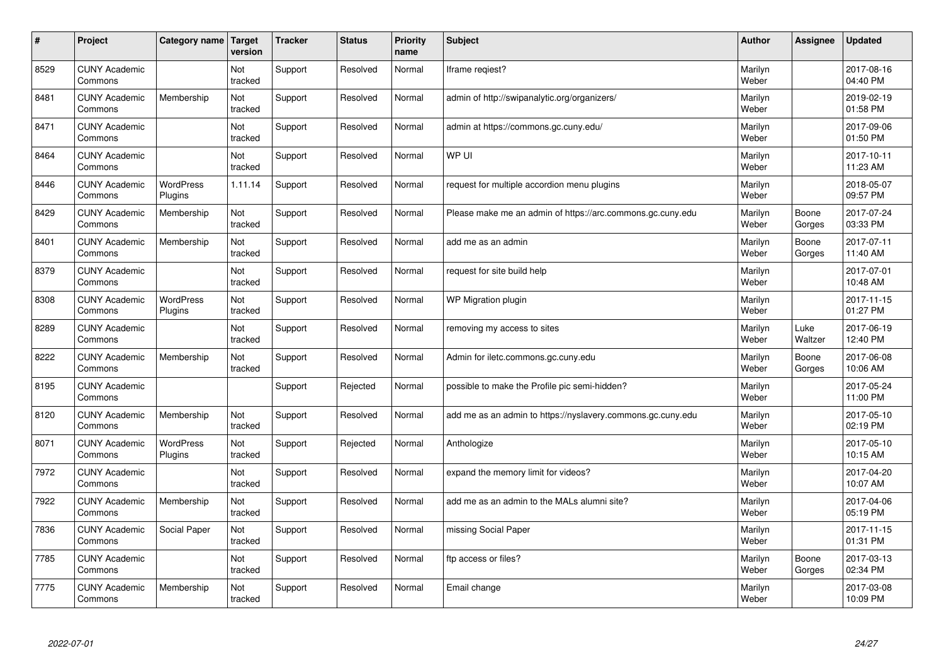| $\vert$ # | Project                         | Category name               | Target<br>version | <b>Tracker</b> | <b>Status</b> | <b>Priority</b><br>name | <b>Subject</b>                                              | <b>Author</b>    | Assignee        | <b>Updated</b>         |
|-----------|---------------------------------|-----------------------------|-------------------|----------------|---------------|-------------------------|-------------------------------------------------------------|------------------|-----------------|------------------------|
| 8529      | <b>CUNY Academic</b><br>Commons |                             | Not<br>tracked    | Support        | Resolved      | Normal                  | Iframe regiest?                                             | Marilyn<br>Weber |                 | 2017-08-16<br>04:40 PM |
| 8481      | <b>CUNY Academic</b><br>Commons | Membership                  | Not<br>tracked    | Support        | Resolved      | Normal                  | admin of http://swipanalytic.org/organizers/                | Marilyn<br>Weber |                 | 2019-02-19<br>01:58 PM |
| 8471      | <b>CUNY Academic</b><br>Commons |                             | Not<br>tracked    | Support        | Resolved      | Normal                  | admin at https://commons.gc.cuny.edu/                       | Marilyn<br>Weber |                 | 2017-09-06<br>01:50 PM |
| 8464      | <b>CUNY Academic</b><br>Commons |                             | Not<br>tracked    | Support        | Resolved      | Normal                  | WP UI                                                       | Marilyn<br>Weber |                 | 2017-10-11<br>11:23 AM |
| 8446      | <b>CUNY Academic</b><br>Commons | <b>WordPress</b><br>Plugins | 1.11.14           | Support        | Resolved      | Normal                  | request for multiple accordion menu plugins                 | Marilyn<br>Weber |                 | 2018-05-07<br>09:57 PM |
| 8429      | <b>CUNY Academic</b><br>Commons | Membership                  | Not<br>tracked    | Support        | Resolved      | Normal                  | Please make me an admin of https://arc.commons.gc.cuny.edu  | Marilyn<br>Weber | Boone<br>Gorges | 2017-07-24<br>03:33 PM |
| 8401      | <b>CUNY Academic</b><br>Commons | Membership                  | Not<br>tracked    | Support        | Resolved      | Normal                  | add me as an admin                                          | Marilyn<br>Weber | Boone<br>Gorges | 2017-07-11<br>11:40 AM |
| 8379      | <b>CUNY Academic</b><br>Commons |                             | Not<br>tracked    | Support        | Resolved      | Normal                  | request for site build help                                 | Marilyn<br>Weber |                 | 2017-07-01<br>10:48 AM |
| 8308      | <b>CUNY Academic</b><br>Commons | <b>WordPress</b><br>Plugins | Not<br>tracked    | Support        | Resolved      | Normal                  | WP Migration plugin                                         | Marilyn<br>Weber |                 | 2017-11-15<br>01:27 PM |
| 8289      | <b>CUNY Academic</b><br>Commons |                             | Not<br>tracked    | Support        | Resolved      | Normal                  | removing my access to sites                                 | Marilyn<br>Weber | Luke<br>Waltzer | 2017-06-19<br>12:40 PM |
| 8222      | <b>CUNY Academic</b><br>Commons | Membership                  | Not<br>tracked    | Support        | Resolved      | Normal                  | Admin for iletc.commons.gc.cuny.edu                         | Marilyn<br>Weber | Boone<br>Gorges | 2017-06-08<br>10:06 AM |
| 8195      | <b>CUNY Academic</b><br>Commons |                             |                   | Support        | Rejected      | Normal                  | possible to make the Profile pic semi-hidden?               | Marilyn<br>Weber |                 | 2017-05-24<br>11:00 PM |
| 8120      | <b>CUNY Academic</b><br>Commons | Membership                  | Not<br>tracked    | Support        | Resolved      | Normal                  | add me as an admin to https://nyslavery.commons.gc.cuny.edu | Marilyn<br>Weber |                 | 2017-05-10<br>02:19 PM |
| 8071      | <b>CUNY Academic</b><br>Commons | WordPress<br>Plugins        | Not<br>tracked    | Support        | Rejected      | Normal                  | Anthologize                                                 | Marilyn<br>Weber |                 | 2017-05-10<br>10:15 AM |
| 7972      | <b>CUNY Academic</b><br>Commons |                             | Not<br>tracked    | Support        | Resolved      | Normal                  | expand the memory limit for videos?                         | Marilyn<br>Weber |                 | 2017-04-20<br>10:07 AM |
| 7922      | <b>CUNY Academic</b><br>Commons | Membership                  | Not<br>tracked    | Support        | Resolved      | Normal                  | add me as an admin to the MALs alumni site?                 | Marilyn<br>Weber |                 | 2017-04-06<br>05:19 PM |
| 7836      | <b>CUNY Academic</b><br>Commons | Social Paper                | Not<br>tracked    | Support        | Resolved      | Normal                  | missing Social Paper                                        | Marilyn<br>Weber |                 | 2017-11-15<br>01:31 PM |
| 7785      | <b>CUNY Academic</b><br>Commons |                             | Not<br>tracked    | Support        | Resolved      | Normal                  | ftp access or files?                                        | Marilyn<br>Weber | Boone<br>Gorges | 2017-03-13<br>02:34 PM |
| 7775      | <b>CUNY Academic</b><br>Commons | Membership                  | Not<br>tracked    | Support        | Resolved      | Normal                  | Email change                                                | Marilyn<br>Weber |                 | 2017-03-08<br>10:09 PM |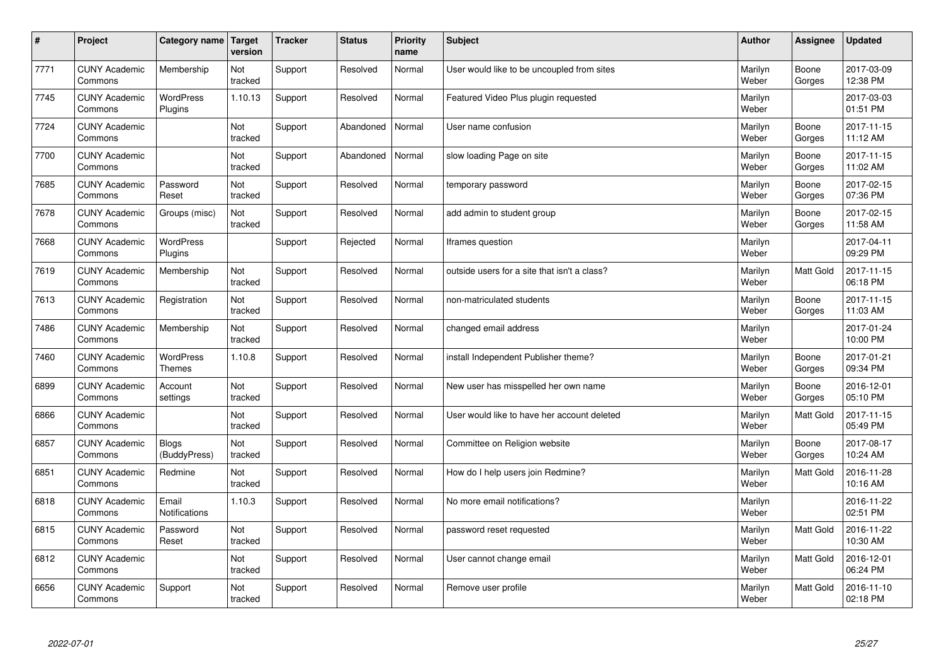| $\vert$ # | Project                         | Category name                     | Target<br>version | <b>Tracker</b> | <b>Status</b> | <b>Priority</b><br>name | <b>Subject</b>                               | <b>Author</b>    | Assignee        | <b>Updated</b>         |
|-----------|---------------------------------|-----------------------------------|-------------------|----------------|---------------|-------------------------|----------------------------------------------|------------------|-----------------|------------------------|
| 7771      | <b>CUNY Academic</b><br>Commons | Membership                        | Not<br>tracked    | Support        | Resolved      | Normal                  | User would like to be uncoupled from sites   | Marilyn<br>Weber | Boone<br>Gorges | 2017-03-09<br>12:38 PM |
| 7745      | <b>CUNY Academic</b><br>Commons | <b>WordPress</b><br>Plugins       | 1.10.13           | Support        | Resolved      | Normal                  | Featured Video Plus plugin requested         | Marilyn<br>Weber |                 | 2017-03-03<br>01:51 PM |
| 7724      | <b>CUNY Academic</b><br>Commons |                                   | Not<br>tracked    | Support        | Abandoned     | Normal                  | User name confusion                          | Marilyn<br>Weber | Boone<br>Gorges | 2017-11-15<br>11:12 AM |
| 7700      | <b>CUNY Academic</b><br>Commons |                                   | Not<br>tracked    | Support        | Abandoned     | Normal                  | slow loading Page on site                    | Marilyn<br>Weber | Boone<br>Gorges | 2017-11-15<br>11:02 AM |
| 7685      | <b>CUNY Academic</b><br>Commons | Password<br>Reset                 | Not<br>tracked    | Support        | Resolved      | Normal                  | temporary password                           | Marilyn<br>Weber | Boone<br>Gorges | 2017-02-15<br>07:36 PM |
| 7678      | <b>CUNY Academic</b><br>Commons | Groups (misc)                     | Not<br>tracked    | Support        | Resolved      | Normal                  | add admin to student group                   | Marilyn<br>Weber | Boone<br>Gorges | 2017-02-15<br>11:58 AM |
| 7668      | <b>CUNY Academic</b><br>Commons | WordPress<br>Plugins              |                   | Support        | Rejected      | Normal                  | lframes question                             | Marilyn<br>Weber |                 | 2017-04-11<br>09:29 PM |
| 7619      | <b>CUNY Academic</b><br>Commons | Membership                        | Not<br>tracked    | Support        | Resolved      | Normal                  | outside users for a site that isn't a class? | Marilyn<br>Weber | Matt Gold       | 2017-11-15<br>06:18 PM |
| 7613      | <b>CUNY Academic</b><br>Commons | Registration                      | Not<br>tracked    | Support        | Resolved      | Normal                  | non-matriculated students                    | Marilyn<br>Weber | Boone<br>Gorges | 2017-11-15<br>11:03 AM |
| 7486      | <b>CUNY Academic</b><br>Commons | Membership                        | Not<br>tracked    | Support        | Resolved      | Normal                  | changed email address                        | Marilyn<br>Weber |                 | 2017-01-24<br>10:00 PM |
| 7460      | <b>CUNY Academic</b><br>Commons | <b>WordPress</b><br><b>Themes</b> | 1.10.8            | Support        | Resolved      | Normal                  | install Independent Publisher theme?         | Marilyn<br>Weber | Boone<br>Gorges | 2017-01-21<br>09:34 PM |
| 6899      | <b>CUNY Academic</b><br>Commons | Account<br>settings               | Not<br>tracked    | Support        | Resolved      | Normal                  | New user has misspelled her own name         | Marilyn<br>Weber | Boone<br>Gorges | 2016-12-01<br>05:10 PM |
| 6866      | <b>CUNY Academic</b><br>Commons |                                   | Not<br>tracked    | Support        | Resolved      | Normal                  | User would like to have her account deleted  | Marilyn<br>Weber | Matt Gold       | 2017-11-15<br>05:49 PM |
| 6857      | <b>CUNY Academic</b><br>Commons | <b>Blogs</b><br>(BuddyPress)      | Not<br>tracked    | Support        | Resolved      | Normal                  | Committee on Religion website                | Marilyn<br>Weber | Boone<br>Gorges | 2017-08-17<br>10:24 AM |
| 6851      | <b>CUNY Academic</b><br>Commons | Redmine                           | Not<br>tracked    | Support        | Resolved      | Normal                  | How do I help users join Redmine?            | Marilyn<br>Weber | Matt Gold       | 2016-11-28<br>10:16 AM |
| 6818      | <b>CUNY Academic</b><br>Commons | Email<br><b>Notifications</b>     | 1.10.3            | Support        | Resolved      | Normal                  | No more email notifications?                 | Marilyn<br>Weber |                 | 2016-11-22<br>02:51 PM |
| 6815      | <b>CUNY Academic</b><br>Commons | Password<br>Reset                 | Not<br>tracked    | Support        | Resolved      | Normal                  | password reset requested                     | Marilyn<br>Weber | Matt Gold       | 2016-11-22<br>10:30 AM |
| 6812      | <b>CUNY Academic</b><br>Commons |                                   | Not<br>tracked    | Support        | Resolved      | Normal                  | User cannot change email                     | Marilyn<br>Weber | Matt Gold       | 2016-12-01<br>06:24 PM |
| 6656      | <b>CUNY Academic</b><br>Commons | Support                           | Not<br>tracked    | Support        | Resolved      | Normal                  | Remove user profile                          | Marilyn<br>Weber | Matt Gold       | 2016-11-10<br>02:18 PM |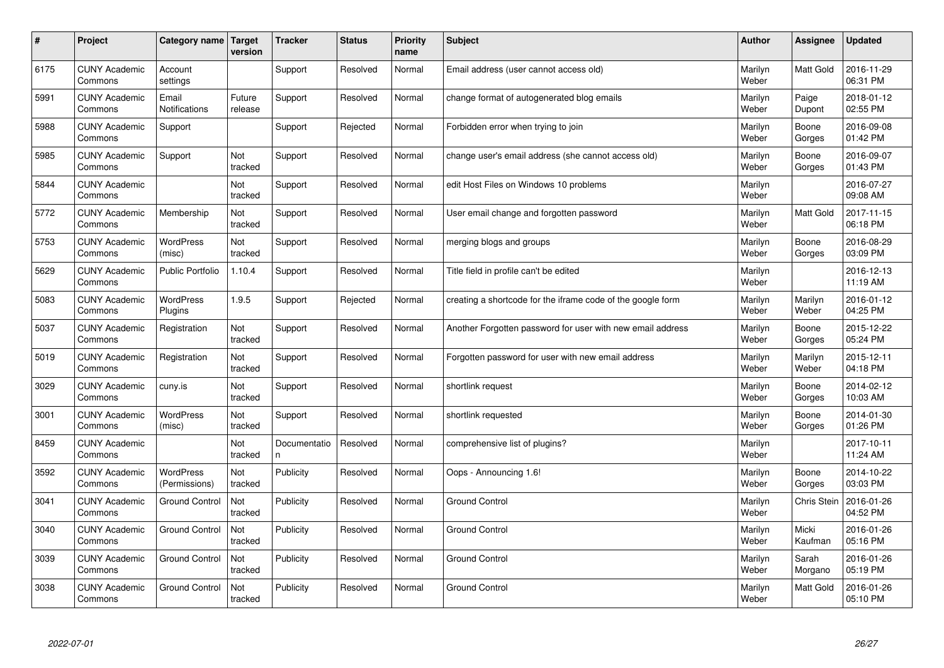| $\pmb{\#}$ | Project                         | Category name                 | Target<br>version | <b>Tracker</b>     | <b>Status</b> | <b>Priority</b><br>name | <b>Subject</b>                                              | <b>Author</b>    | Assignee           | Updated                |
|------------|---------------------------------|-------------------------------|-------------------|--------------------|---------------|-------------------------|-------------------------------------------------------------|------------------|--------------------|------------------------|
| 6175       | <b>CUNY Academic</b><br>Commons | Account<br>settings           |                   | Support            | Resolved      | Normal                  | Email address (user cannot access old)                      | Marilyn<br>Weber | Matt Gold          | 2016-11-29<br>06:31 PM |
| 5991       | <b>CUNY Academic</b><br>Commons | Email<br><b>Notifications</b> | Future<br>release | Support            | Resolved      | Normal                  | change format of autogenerated blog emails                  | Marilyn<br>Weber | Paige<br>Dupont    | 2018-01-12<br>02:55 PM |
| 5988       | <b>CUNY Academic</b><br>Commons | Support                       |                   | Support            | Rejected      | Normal                  | Forbidden error when trying to join                         | Marilyn<br>Weber | Boone<br>Gorges    | 2016-09-08<br>01:42 PM |
| 5985       | <b>CUNY Academic</b><br>Commons | Support                       | Not<br>tracked    | Support            | Resolved      | Normal                  | change user's email address (she cannot access old)         | Marilyn<br>Weber | Boone<br>Gorges    | 2016-09-07<br>01:43 PM |
| 5844       | <b>CUNY Academic</b><br>Commons |                               | Not<br>tracked    | Support            | Resolved      | Normal                  | edit Host Files on Windows 10 problems                      | Marilyn<br>Weber |                    | 2016-07-27<br>09:08 AM |
| 5772       | <b>CUNY Academic</b><br>Commons | Membership                    | Not<br>tracked    | Support            | Resolved      | Normal                  | User email change and forgotten password                    | Marilyn<br>Weber | Matt Gold          | 2017-11-15<br>06:18 PM |
| 5753       | <b>CUNY Academic</b><br>Commons | <b>WordPress</b><br>(misc)    | Not<br>tracked    | Support            | Resolved      | Normal                  | merging blogs and groups                                    | Marilyn<br>Weber | Boone<br>Gorges    | 2016-08-29<br>03:09 PM |
| 5629       | <b>CUNY Academic</b><br>Commons | <b>Public Portfolio</b>       | 1.10.4            | Support            | Resolved      | Normal                  | Title field in profile can't be edited                      | Marilyn<br>Weber |                    | 2016-12-13<br>11:19 AM |
| 5083       | <b>CUNY Academic</b><br>Commons | <b>WordPress</b><br>Plugins   | 1.9.5             | Support            | Rejected      | Normal                  | creating a shortcode for the iframe code of the google form | Marilyn<br>Weber | Marilyn<br>Weber   | 2016-01-12<br>04:25 PM |
| 5037       | <b>CUNY Academic</b><br>Commons | Registration                  | Not<br>tracked    | Support            | Resolved      | Normal                  | Another Forgotten password for user with new email address  | Marilyn<br>Weber | Boone<br>Gorges    | 2015-12-22<br>05:24 PM |
| 5019       | <b>CUNY Academic</b><br>Commons | Registration                  | Not<br>tracked    | Support            | Resolved      | Normal                  | Forgotten password for user with new email address          | Marilyn<br>Weber | Marilyn<br>Weber   | 2015-12-11<br>04:18 PM |
| 3029       | <b>CUNY Academic</b><br>Commons | cuny.is                       | Not<br>tracked    | Support            | Resolved      | Normal                  | shortlink request                                           | Marilyn<br>Weber | Boone<br>Gorges    | 2014-02-12<br>10:03 AM |
| 3001       | <b>CUNY Academic</b><br>Commons | <b>WordPress</b><br>(misc)    | Not<br>tracked    | Support            | Resolved      | Normal                  | shortlink requested                                         | Marilyn<br>Weber | Boone<br>Gorges    | 2014-01-30<br>01:26 PM |
| 8459       | <b>CUNY Academic</b><br>Commons |                               | Not<br>tracked    | Documentatio<br>n. | Resolved      | Normal                  | comprehensive list of plugins?                              | Marilyn<br>Weber |                    | 2017-10-11<br>11:24 AM |
| 3592       | <b>CUNY Academic</b><br>Commons | WordPress<br>(Permissions)    | Not<br>tracked    | Publicity          | Resolved      | Normal                  | Oops - Announcing 1.6!                                      | Marilyn<br>Weber | Boone<br>Gorges    | 2014-10-22<br>03:03 PM |
| 3041       | <b>CUNY Academic</b><br>Commons | <b>Ground Control</b>         | Not<br>tracked    | Publicity          | Resolved      | Normal                  | <b>Ground Control</b>                                       | Marilyn<br>Weber | <b>Chris Stein</b> | 2016-01-26<br>04:52 PM |
| 3040       | <b>CUNY Academic</b><br>Commons | <b>Ground Control</b>         | Not<br>tracked    | Publicity          | Resolved      | Normal                  | <b>Ground Control</b>                                       | Marilyn<br>Weber | Micki<br>Kaufman   | 2016-01-26<br>05:16 PM |
| 3039       | <b>CUNY Academic</b><br>Commons | <b>Ground Control</b>         | Not<br>tracked    | Publicity          | Resolved      | Normal                  | <b>Ground Control</b>                                       | Marilyn<br>Weber | Sarah<br>Morgano   | 2016-01-26<br>05:19 PM |
| 3038       | <b>CUNY Academic</b><br>Commons | <b>Ground Control</b>         | Not<br>tracked    | Publicity          | Resolved      | Normal                  | <b>Ground Control</b>                                       | Marilyn<br>Weber | Matt Gold          | 2016-01-26<br>05:10 PM |